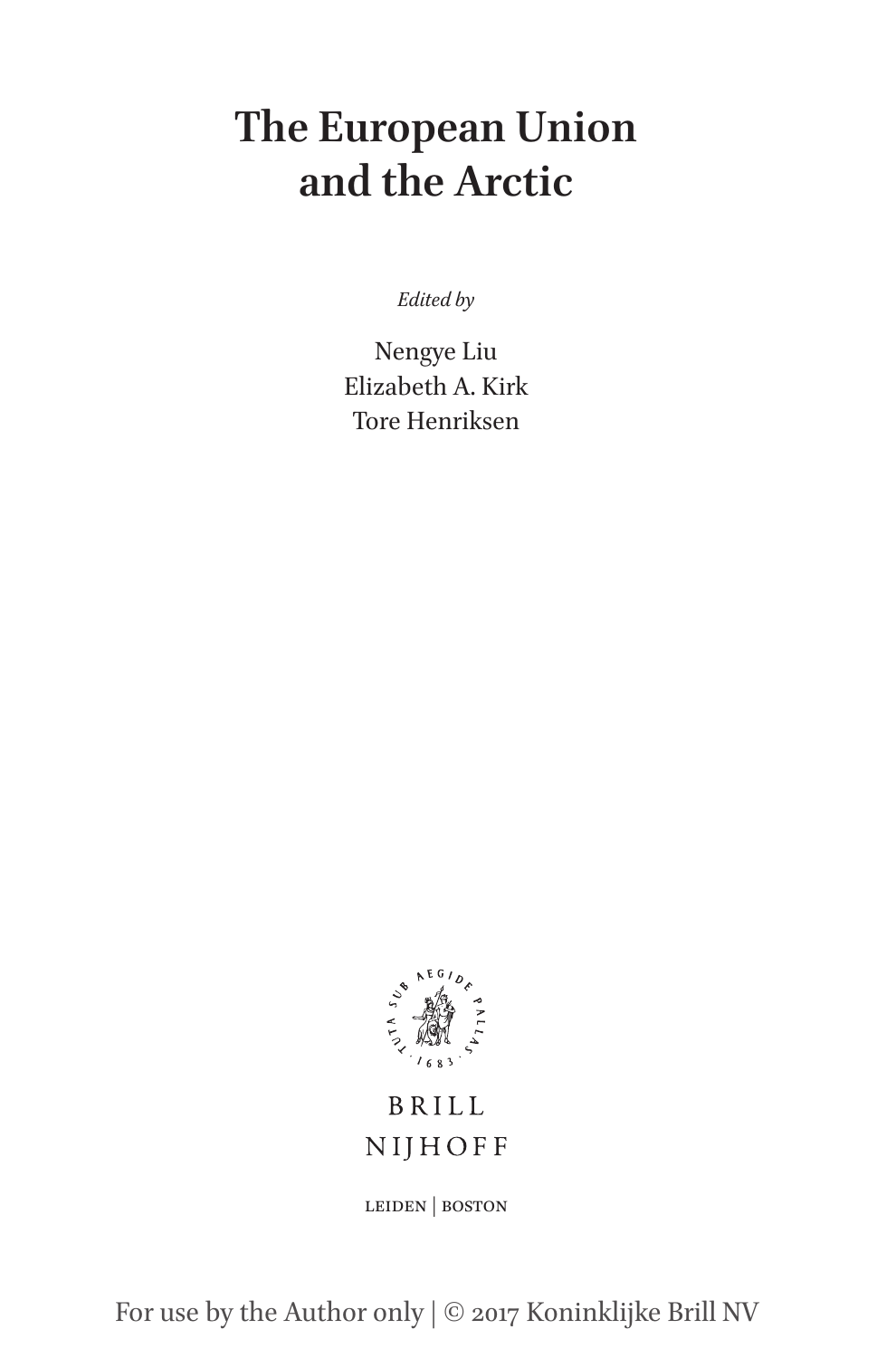# **The European Union and the Arctic**

*Edited by*

Nengye Liu Elizabeth A. Kirk Tore Henriksen



## **BRILL** NIJHOFF

LEIDEN | BOSTON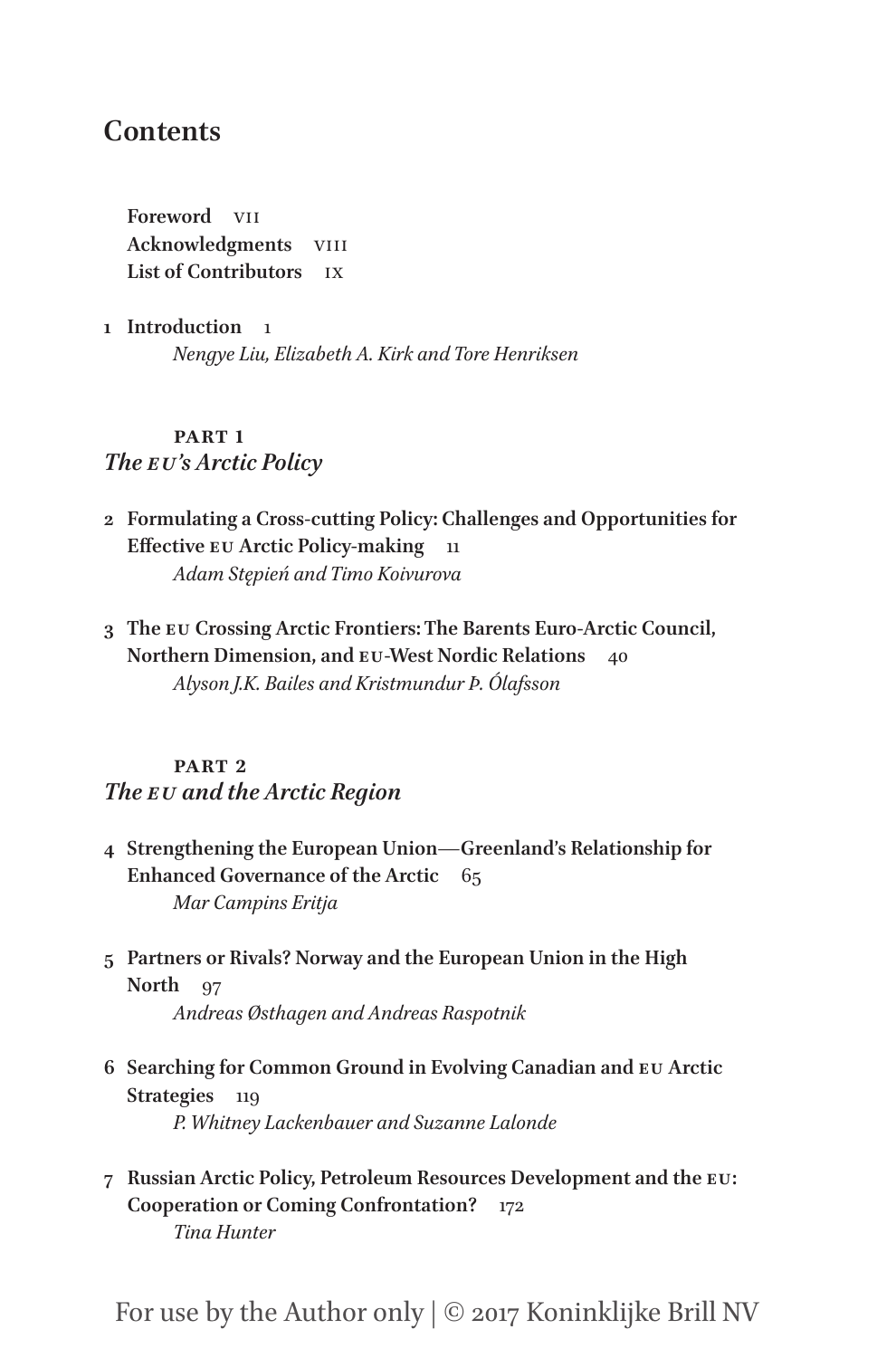## **Contents**

**Foreword** vii **Acknowledgments** viii **List of Contributors** ix

**1 Introduction** 1 *Nengye Liu, Elizabeth A. Kirk and Tore Henriksen*

#### **Part 1** *The EU's Arctic Policy*

- **2 Formulating a Cross-cutting Policy: Challenges and Opportunities for Effective EU Arctic Policy-making** 11 *Adam Stępień and Timo Koivurova*
- **3 The EU Crossing Arctic Frontiers: The Barents Euro-Arctic Council, Northern Dimension, and EU-West Nordic Relations** 40 *Alyson J.K. Bailes and Kristmundur Þ. Ólafsson*

#### **Part 2** *The EU and the Arctic Region*

- **4 Strengthening the European Union—Greenland's Relationship for Enhanced Governance of the Arctic** 65 *Mar Campins Eritja*
- **5 Partners or Rivals? Norway and the European Union in the High North** 97 *Andreas Østhagen and Andreas Raspotnik*
- **6 Searching for Common Ground in Evolving Canadian and EU Arctic Strategies** 119 *P. Whitney Lackenbauer and Suzanne Lalonde*
- **7 Russian Arctic Policy, Petroleum Resources Development and the EU: Cooperation or Coming Confrontation?** 172 *Tina Hunter*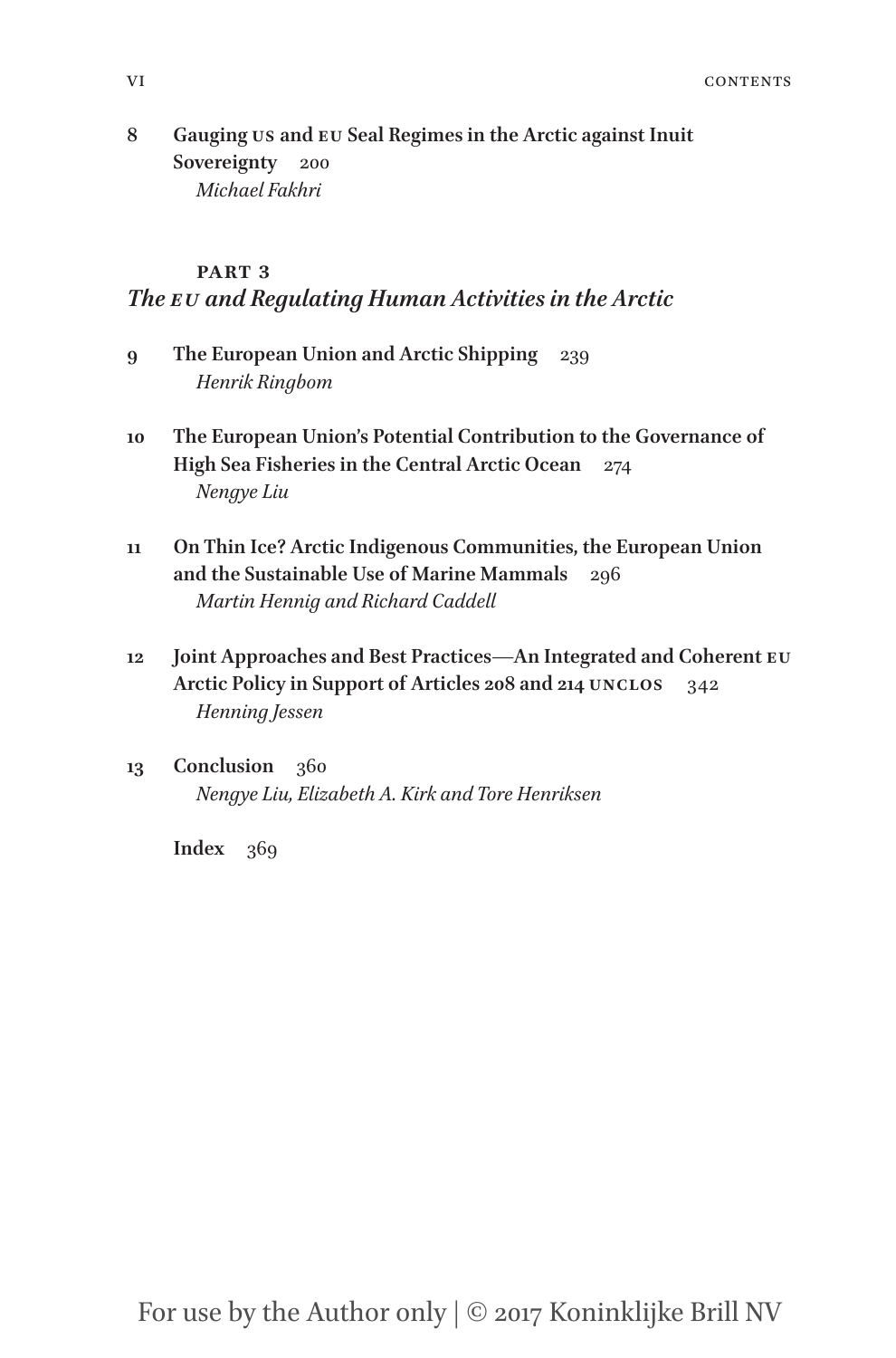**8 Gauging US and EU Seal Regimes in the Arctic against Inuit Sovereignty** 200 *Michael Fakhri*

## **Part 3**

#### *The EU and Regulating Human Activities in the Arctic*

- **9 The European Union and Arctic Shipping** 239 *Henrik Ringbom*
- **10 The European Union's Potential Contribution to the Governance of High Sea Fisheries in the Central Arctic Ocean** 274 *Nengye Liu*
- **11 On Thin Ice? Arctic Indigenous Communities, the European Union and the Sustainable Use of Marine Mammals** 296 *Martin Hennig and Richard Caddell*
- **12 Joint Approaches and Best Practices—An Integrated and Coherent EU Arctic Policy in Support of Articles 208 and 214 UNCLOS** 342 *Henning Jessen*

#### **13 Conclusion** 360 *Nengye Liu, Elizabeth A. Kirk and Tore Henriksen*

**Index** 369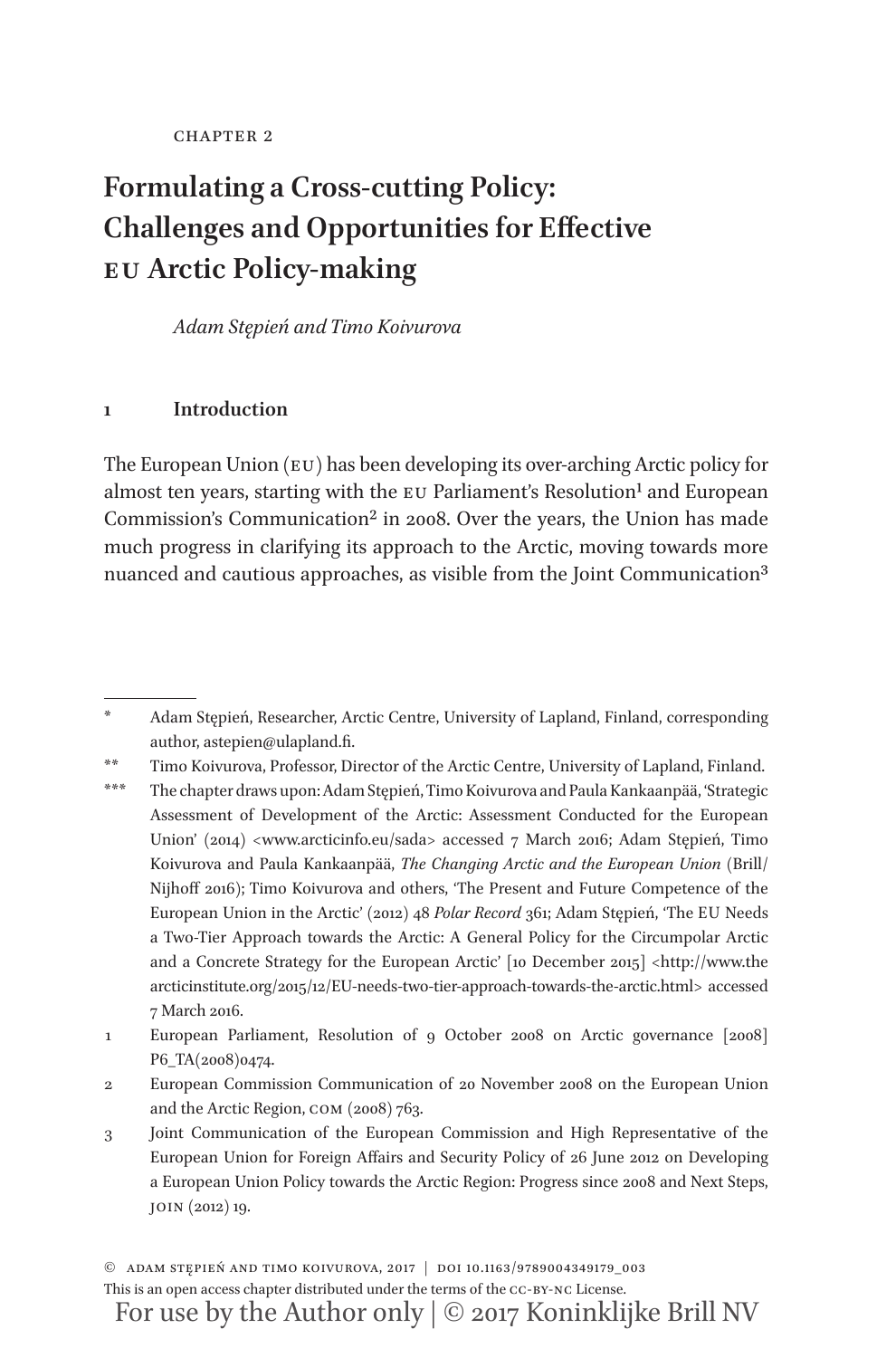## **Formulating a Cross-cutting Policy: Challenges and Opportunities for Effective EU Arctic Policy-making**

*Adam Stępień and Timo Koivurova*

#### **1 Introduction**

The European Union (EU) has been developing its over-arching Arctic policy for almost ten years, starting with the EU Parliament's Resolution<sup>1</sup> and European Commission's Communication<sup>2</sup> in 2008. Over the years, the Union has made much progress in clarifying its approach to the Arctic, moving towards more nuanced and cautious approaches, as visible from the Joint Communication<sup>3</sup>

Adam Stępień, Researcher, Arctic Centre, University of Lapland, Finland, corresponding author, [astepien@ulapland.fi](mailto:astepien@ulapland.fi).

<sup>\*\*</sup> Timo Koivurova, Professor, Director of the Arctic Centre, University of Lapland, Finland.

<sup>\*\*\*</sup> The chapter draws upon: Adam Stępień, Timo Koivurova and Paula Kankaanpää, 'Strategic Assessment of Development of the Arctic: Assessment Conducted for the European Union' (2014) [<www.arcticinfo.eu/sada](http://www.arcticinfo.eu/sada)> accessed 7 March 2016; Adam Stępień, Timo Koivurova and Paula Kankaanpää, *The Changing Arctic and the European Union* (Brill/ Nijhoff 2016); Timo Koivurova and others, 'The Present and Future Competence of the European Union in the Arctic' (2012) 48 *Polar Record* 361; Adam Stępień, 'The EU Needs a Two-Tier Approach towards the Arctic: A General Policy for the Circumpolar Arctic and a Concrete Strategy for the European Arctic' [10 December 2015] [<http://www.the](http://www.thearcticinstitute.org/2015/12/EU-needs-two-tier-approach-towards-the-arctic.html) [arcticinstitute.org/2015/12/EU-needs-two-tier-approach-towards-the-arctic.html](http://www.thearcticinstitute.org/2015/12/EU-needs-two-tier-approach-towards-the-arctic.html)> accessed 7 March 2016.

<sup>1</sup> European Parliament, Resolution of 9 October 2008 on Arctic governance [2008] P6\_TA(2008)0474.

<sup>2</sup> European Commission Communication of 20 November 2008 on the European Union and the Arctic Region, COM (2008) 763.

<sup>3</sup> Joint Communication of the European Commission and High Representative of the European Union for Foreign Affairs and Security Policy of 26 June 2012 on Developing a European Union Policy towards the Arctic Region: Progress since 2008 and Next Steps, JOIN (2012) 19.

<sup>©</sup> ADAM STĘPIEŃ AND TIMO KOIVUROVA, 2017 | DOI 10.1163/9789004349179\_003 This is an open access chapter distributed under the terms of the CC-BY-NC License.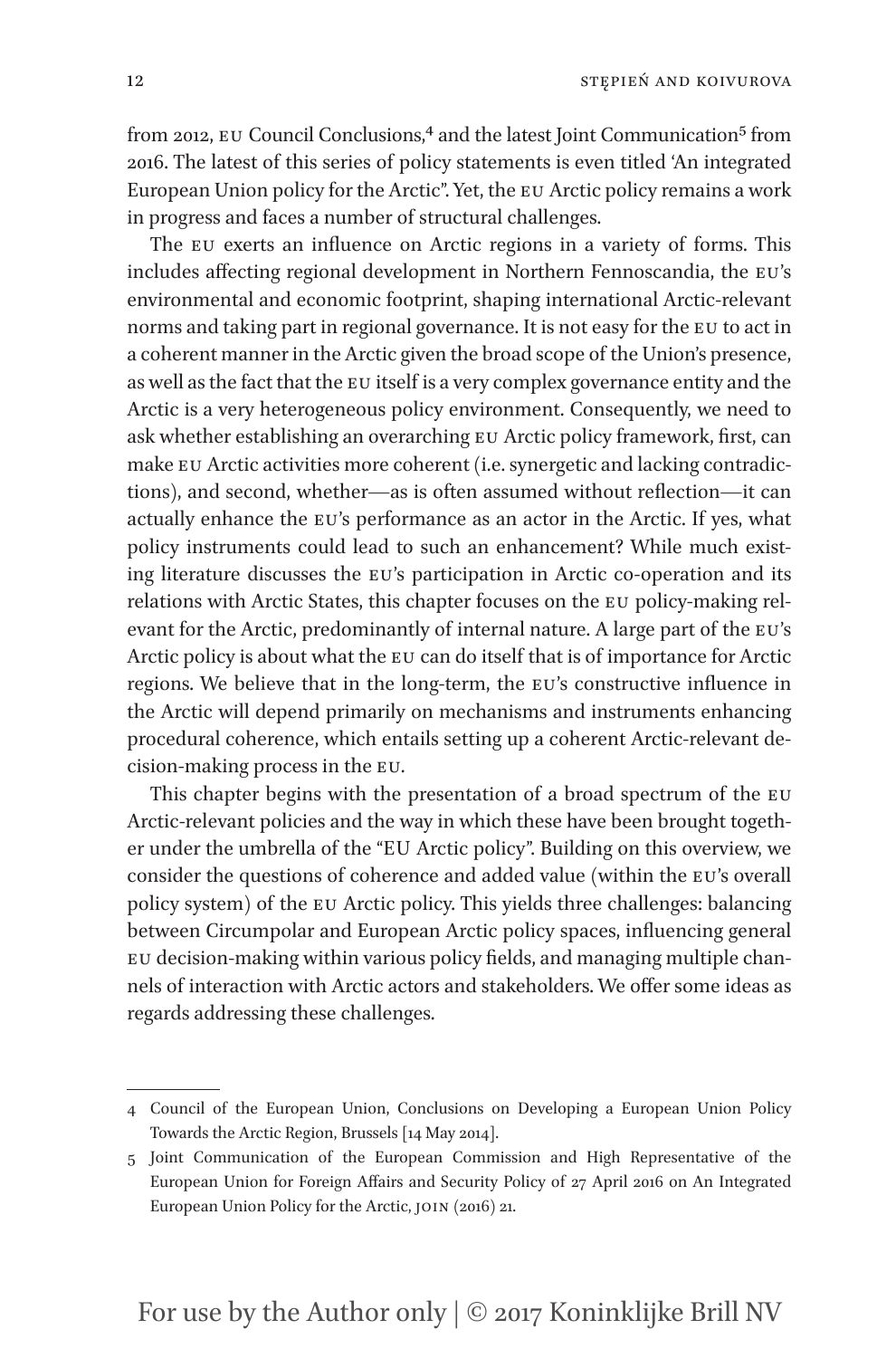from 2012, EU Council Conclusions,<sup>4</sup> and the latest Joint Communication<sup>5</sup> from 2016. The latest of this series of policy statements is even titled 'An integrated European Union policy for the Arctic". Yet, the EU Arctic policy remains a work in progress and faces a number of structural challenges.

The EU exerts an influence on Arctic regions in a variety of forms. This includes affecting regional development in Northern Fennoscandia, the EU's environmental and economic footprint, shaping international Arctic-relevant norms and taking part in regional governance. It is not easy for the EU to act in a coherent manner in the Arctic given the broad scope of the Union's presence, as well as the fact that the EU itself is a very complex governance entity and the Arctic is a very heterogeneous policy environment. Consequently, we need to ask whether establishing an overarching EU Arctic policy framework, first, can make EU Arctic activities more coherent (i.e. synergetic and lacking contradictions), and second, whether—as is often assumed without reflection—it can actually enhance the EU's performance as an actor in the Arctic. If yes, what policy instruments could lead to such an enhancement? While much existing literature discusses the EU's participation in Arctic co-operation and its relations with Arctic States, this chapter focuses on the EU policy-making relevant for the Arctic, predominantly of internal nature. A large part of the EU's Arctic policy is about what the EU can do itself that is of importance for Arctic regions. We believe that in the long-term, the EU's constructive influence in the Arctic will depend primarily on mechanisms and instruments enhancing procedural coherence, which entails setting up a coherent Arctic-relevant decision-making process in the EU.

This chapter begins with the presentation of a broad spectrum of the EU Arctic-relevant policies and the way in which these have been brought together under the umbrella of the "EU Arctic policy". Building on this overview, we consider the questions of coherence and added value (within the EU's overall policy system) of the EU Arctic policy. This yields three challenges: balancing between Circumpolar and European Arctic policy spaces, influencing general EU decision-making within various policy fields, and managing multiple channels of interaction with Arctic actors and stakeholders. We offer some ideas as regards addressing these challenges.

<sup>4</sup> Council of the European Union, Conclusions on Developing a European Union Policy Towards the Arctic Region, Brussels [14 May 2014].

<sup>5</sup> Joint Communication of the European Commission and High Representative of the European Union for Foreign Affairs and Security Policy of 27 April 2016 on An Integrated European Union Policy for the Arctic, JOIN (2016) 21.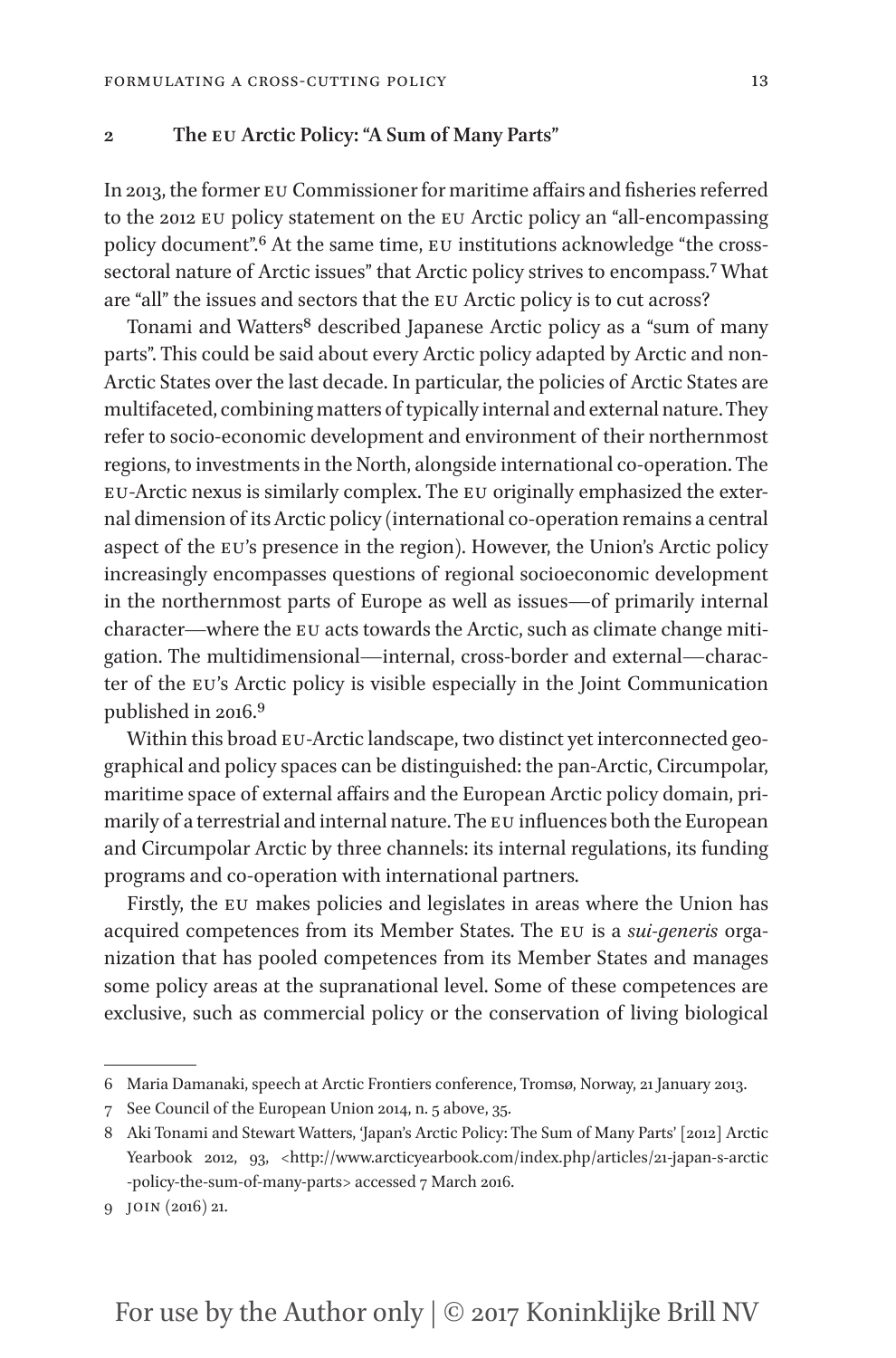#### **2 The EU Arctic Policy: "A Sum of Many Parts"**

In 2013, the former EU Commissioner for maritime affairs and fisheries referred to the 2012 EU policy statement on the EU Arctic policy an "all-encompassing policy document".6 At the same time, EU institutions acknowledge "the crosssectoral nature of Arctic issues" that Arctic policy strives to encompass.7 What are "all" the issues and sectors that the EU Arctic policy is to cut across?

Tonami and Watters<sup>8</sup> described Japanese Arctic policy as a "sum of many parts". This could be said about every Arctic policy adapted by Arctic and non-Arctic States over the last decade. In particular, the policies of Arctic States are multifaceted, combining matters of typically internal and external nature. They refer to socio-economic development and environment of their northernmost regions, to investments in the North, alongside international co-operation. The EU-Arctic nexus is similarly complex. The EU originally emphasized the external dimension of its Arctic policy (international co-operation remains a central aspect of the EU's presence in the region). However, the Union's Arctic policy increasingly encompasses questions of regional socioeconomic development in the northernmost parts of Europe as well as issues—of primarily internal character—where the EU acts towards the Arctic, such as climate change mitigation. The multidimensional—internal, cross-border and external—character of the EU's Arctic policy is visible especially in the Joint Communication published in 2016.9

Within this broad EU-Arctic landscape, two distinct yet interconnected geographical and policy spaces can be distinguished: the pan-Arctic, Circumpolar, maritime space of external affairs and the European Arctic policy domain, primarily of a terrestrial and internal nature. The EU influences both the European and Circumpolar Arctic by three channels: its internal regulations, its funding programs and co-operation with international partners.

Firstly, the EU makes policies and legislates in areas where the Union has acquired competences from its Member States. The EU is a *sui-generis* organization that has pooled competences from its Member States and manages some policy areas at the supranational level. Some of these competences are exclusive, such as commercial policy or the conservation of living biological

<sup>6</sup> Maria Damanaki, speech at Arctic Frontiers conference, Tromsø, Norway, 21 January 2013.

<sup>7</sup> See Council of the European Union 2014, n. 5 above, 35.

<sup>8</sup> Aki Tonami and Stewart Watters, 'Japan's Arctic Policy: The Sum of Many Parts' [2012] Arctic Yearbook 2012, 93, [<http://www.arcticyearbook.com/index.php/articles/21-japan-s-arctic](http://www.arcticyearbook.com/index.php/articles/21-japan-s-arctic-policy-the-sum-of-many-parts) [-policy-the-sum-of-many-parts>](http://www.arcticyearbook.com/index.php/articles/21-japan-s-arctic-policy-the-sum-of-many-parts) accessed 7 March 2016.

<sup>9</sup> JOIN (2016) 21.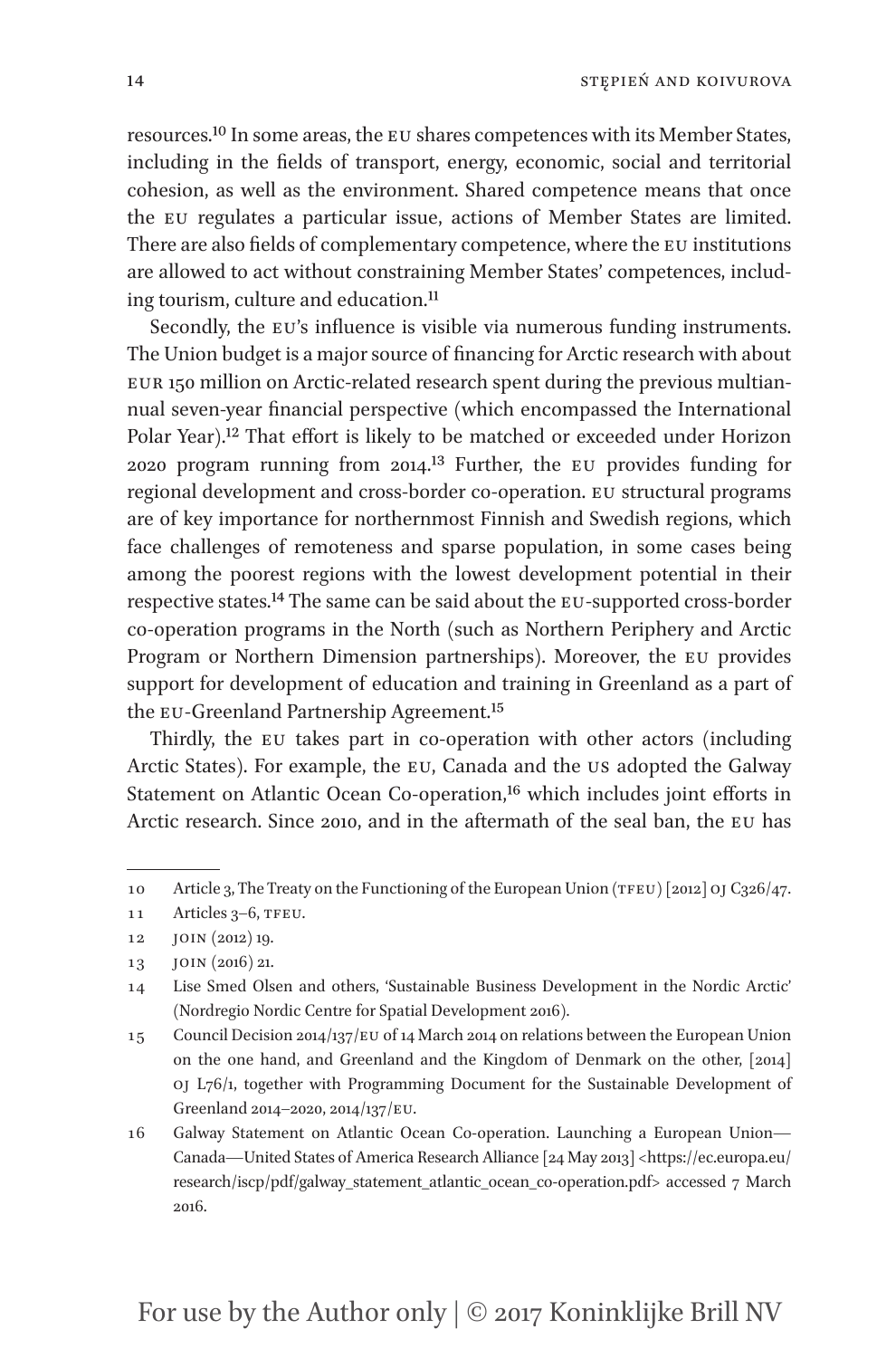resources.10 In some areas, the EU shares competences with its Member States, including in the fields of transport, energy, economic, social and territorial cohesion, as well as the environment. Shared competence means that once the EU regulates a particular issue, actions of Member States are limited. There are also fields of complementary competence, where the EU institutions are allowed to act without constraining Member States' competences, including tourism, culture and education.<sup>11</sup>

Secondly, the EU's influence is visible via numerous funding instruments. The Union budget is a major source of financing for Arctic research with about EUR 150 million on Arctic-related research spent during the previous multiannual seven-year financial perspective (which encompassed the International Polar Year).<sup>12</sup> That effort is likely to be matched or exceeded under Horizon 2020 program running from 2014.13 Further, the EU provides funding for regional development and cross-border co-operation. EU structural programs are of key importance for northernmost Finnish and Swedish regions, which face challenges of remoteness and sparse population, in some cases being among the poorest regions with the lowest development potential in their respective states.14 The same can be said about the EU-supported cross-border co-operation programs in the North (such as Northern Periphery and Arctic Program or Northern Dimension partnerships). Moreover, the EU provides support for development of education and training in Greenland as a part of the EU-Greenland Partnership Agreement.15

Thirdly, the EU takes part in co-operation with other actors (including Arctic States). For example, the EU, Canada and the US adopted the Galway Statement on Atlantic Ocean Co-operation,<sup>16</sup> which includes joint efforts in Arctic research. Since 2010, and in the aftermath of the seal ban, the EU has

<sup>10</sup> Article 3, The Treaty on the Functioning of the European Union (TFEU) [2012] OJ C326/47.

<sup>11</sup> Articles 3–6, TFEU.

<sup>12</sup> JOIN (2012) 19.

<sup>13</sup> JOIN (2016) 21.

<sup>14</sup> Lise Smed Olsen and others, 'Sustainable Business Development in the Nordic Arctic' (Nordregio Nordic Centre for Spatial Development 2016).

<sup>15</sup> Council Decision 2014/137/EU of 14 March 2014 on relations between the European Union on the one hand, and Greenland and the Kingdom of Denmark on the other, [2014] OJ L76/1, together with Programming Document for the Sustainable Development of Greenland 2014–2020, 2014/137/EU.

<sup>16</sup> Galway Statement on Atlantic Ocean Co-operation. Launching a European Union— Canada—United States of America Research Alliance [24 May 2013] <[https://ec.europa.eu/](https://ec.europa.eu/research/iscp/pdf/galway_statement_atlantic_ocean_co-operation.pdf) [research/iscp/pdf/galway\\_statement\\_atlantic\\_ocean\\_co-operation.pdf>](https://ec.europa.eu/research/iscp/pdf/galway_statement_atlantic_ocean_co-operation.pdf) accessed 7 March 2016.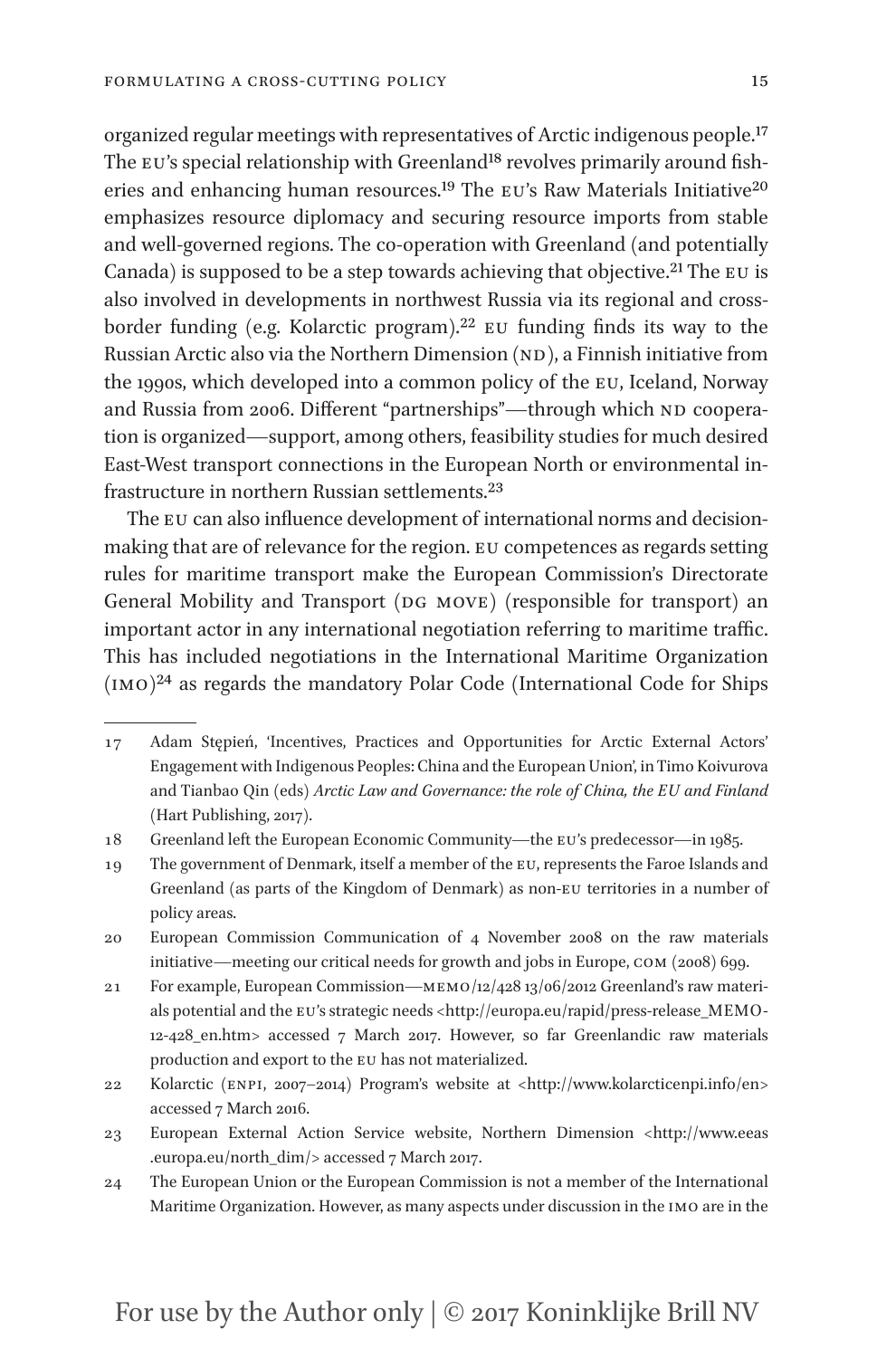organized regular meetings with representatives of Arctic indigenous people.17 The EU's special relationship with Greenland<sup>18</sup> revolves primarily around fisheries and enhancing human resources.<sup>19</sup> The EU's Raw Materials Initiative<sup>20</sup> emphasizes resource diplomacy and securing resource imports from stable and well-governed regions. The co-operation with Greenland (and potentially Canada) is supposed to be a step towards achieving that objective.21 The EU is also involved in developments in northwest Russia via its regional and crossborder funding (e.g. Kolarctic program).<sup>22</sup> EU funding finds its way to the Russian Arctic also via the Northern Dimension (ND), a Finnish initiative from the 1990s, which developed into a common policy of the EU, Iceland, Norway and Russia from 2006. Different "partnerships"—through which ND cooperation is organized—support, among others, feasibility studies for much desired East-West transport connections in the European North or environmental infrastructure in northern Russian settlements.23

The EU can also influence development of international norms and decisionmaking that are of relevance for the region. EU competences as regards setting rules for maritime transport make the European Commission's Directorate General Mobility and Transport (DG MOVE) (responsible for transport) an important actor in any international negotiation referring to maritime traffic. This has included negotiations in the International Maritime Organization  $(IMO)<sup>24</sup>$  as regards the mandatory Polar Code (International Code for Ships

- 19 The government of Denmark, itself a member of the EU, represents the Faroe Islands and Greenland (as parts of the Kingdom of Denmark) as non-EU territories in a number of policy areas.
- 20 European Commission Communication of 4 November 2008 on the raw materials initiative—meeting our critical needs for growth and jobs in Europe, COM (2008) 699.
- 21 For example, European Commission—MEMO/12/428 13/06/2012 Greenland's raw materials potential and the EU's strategic needs <[http://europa.eu/rapid/press-release\\_MEMO-](http://europa.eu/rapid/press-release_MEMO-12-428_en.htm)[12-428\\_en.htm](http://europa.eu/rapid/press-release_MEMO-12-428_en.htm)> accessed 7 March 2017. However, so far Greenlandic raw materials production and export to the EU has not materialized.
- 22 Kolarctic (ENPI, 2007–2014) Program's website at <[http://www.kolarcticenpi.info/en>](http://www.kolarcticenpi.info/en) accessed 7 March 2016.
- 23 European External Action Service website, Northern Dimension [<http://www.eeas](http://www.eeas.europa.eu/north_dim/) [.europa.eu/north\\_dim/>](http://www.eeas.europa.eu/north_dim/) accessed 7 March 2017.
- 24 The European Union or the European Commission is not a member of the International Maritime Organization. However, as many aspects under discussion in the IMO are in the

<sup>17</sup> Adam Stępień, 'Incentives, Practices and Opportunities for Arctic External Actors' Engagement with Indigenous Peoples: China and the European Union', in Timo Koivurova and Tianbao Qin (eds) *Arctic Law and Governance: the role of China, the EU and Finland* (Hart Publishing, 2017).

<sup>18</sup> Greenland left the European Economic Community—the EU's predecessor—in 1985.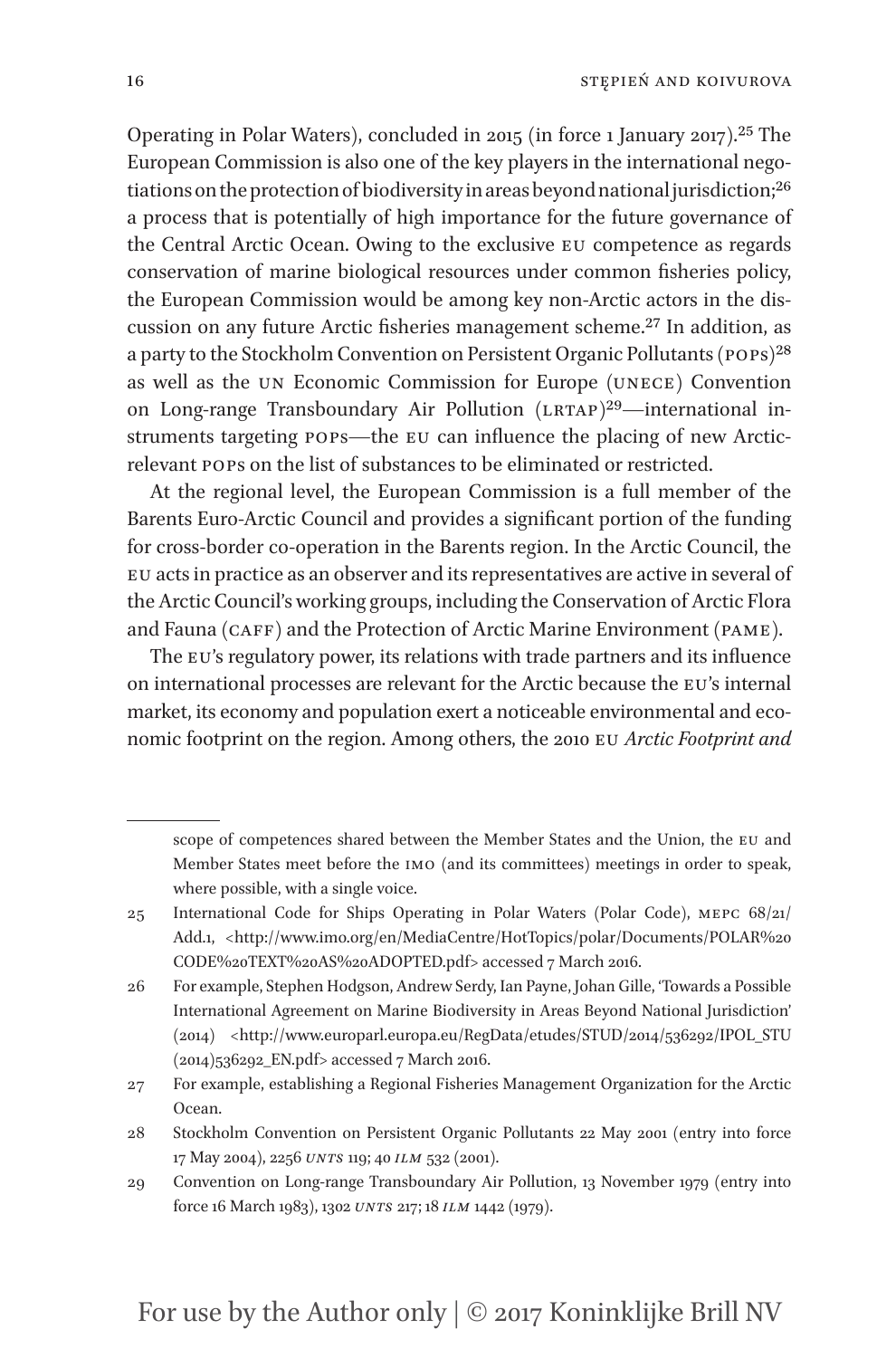Operating in Polar Waters), concluded in 2015 (in force 1 January 2017).25 The European Commission is also one of the key players in the international negotiations on the protection of biodiversity in areas beyond national jurisdiction;26 a process that is potentially of high importance for the future governance of the Central Arctic Ocean. Owing to the exclusive EU competence as regards conservation of marine biological resources under common fisheries policy, the European Commission would be among key non-Arctic actors in the discussion on any future Arctic fisheries management scheme.27 In addition, as a party to the Stockholm Convention on Persistent Organic Pollutants (POPs)<sup>28</sup> as well as the UN Economic Commission for Europe (UNECE) Convention on Long-range Transboundary Air Pollution (LRTAP)29—international instruments targeting POPs—the EU can influence the placing of new Arcticrelevant POPs on the list of substances to be eliminated or restricted.

At the regional level, the European Commission is a full member of the Barents Euro-Arctic Council and provides a significant portion of the funding for cross-border co-operation in the Barents region. In the Arctic Council, the EU acts in practice as an observer and its representatives are active in several of the Arctic Council's working groups, including the Conservation of Arctic Flora and Fauna (CAFF) and the Protection of Arctic Marine Environment (PAME).

The EU's regulatory power, its relations with trade partners and its influence on international processes are relevant for the Arctic because the EU's internal market, its economy and population exert a noticeable environmental and economic footprint on the region. Among others, the 2010 EU *Arctic Footprint and* 

25 International Code for Ships Operating in Polar Waters (Polar Code), MEPC 68/21/ Add.1, [<http://www.imo.org/en/MediaCentre/HotTopics/polar/Documents/POLAR%20](http://www.imo.org/en/MediaCentre/HotTopics/polar/Documents/POLAR%20CODE%20TEXT%20AS%20ADOPTED.pdf) [CODE%20TEXT%20AS%20ADOPTED.pdf](http://www.imo.org/en/MediaCentre/HotTopics/polar/Documents/POLAR%20CODE%20TEXT%20AS%20ADOPTED.pdf)> accessed 7 March 2016.

27 For example, establishing a Regional Fisheries Management Organization for the Arctic Ocean.

29 Convention on Long-range Transboundary Air Pollution, 13 November 1979 (entry into force 16 March 1983), 1302 *UNTS* 217; 18 *ILM* 1442 (1979).

scope of competences shared between the Member States and the Union, the EU and Member States meet before the IMO (and its committees) meetings in order to speak, where possible, with a single voice.

<sup>26</sup> For example, Stephen Hodgson, Andrew Serdy, Ian Payne, Johan Gille, 'Towards a Possible International Agreement on Marine Biodiversity in Areas Beyond National Jurisdiction' (2014) [<http://www.europarl.europa.eu/RegData/etudes/STUD/2014/536292/IPOL\\_STU](http://www.europarl.europa.eu/RegData/etudes/STUD/2014/536292/IPOL_STU(2014) [\(2014\)](http://www.europarl.europa.eu/RegData/etudes/STUD/2014/536292/IPOL_STU(2014)536292\_EN.pdf> accessed 7 March 2016.

<sup>28</sup> Stockholm Convention on Persistent Organic Pollutants 22 May 2001 (entry into force 17 May 2004), 2256 *UNTS* 119; 40 *ILM* 532 (2001).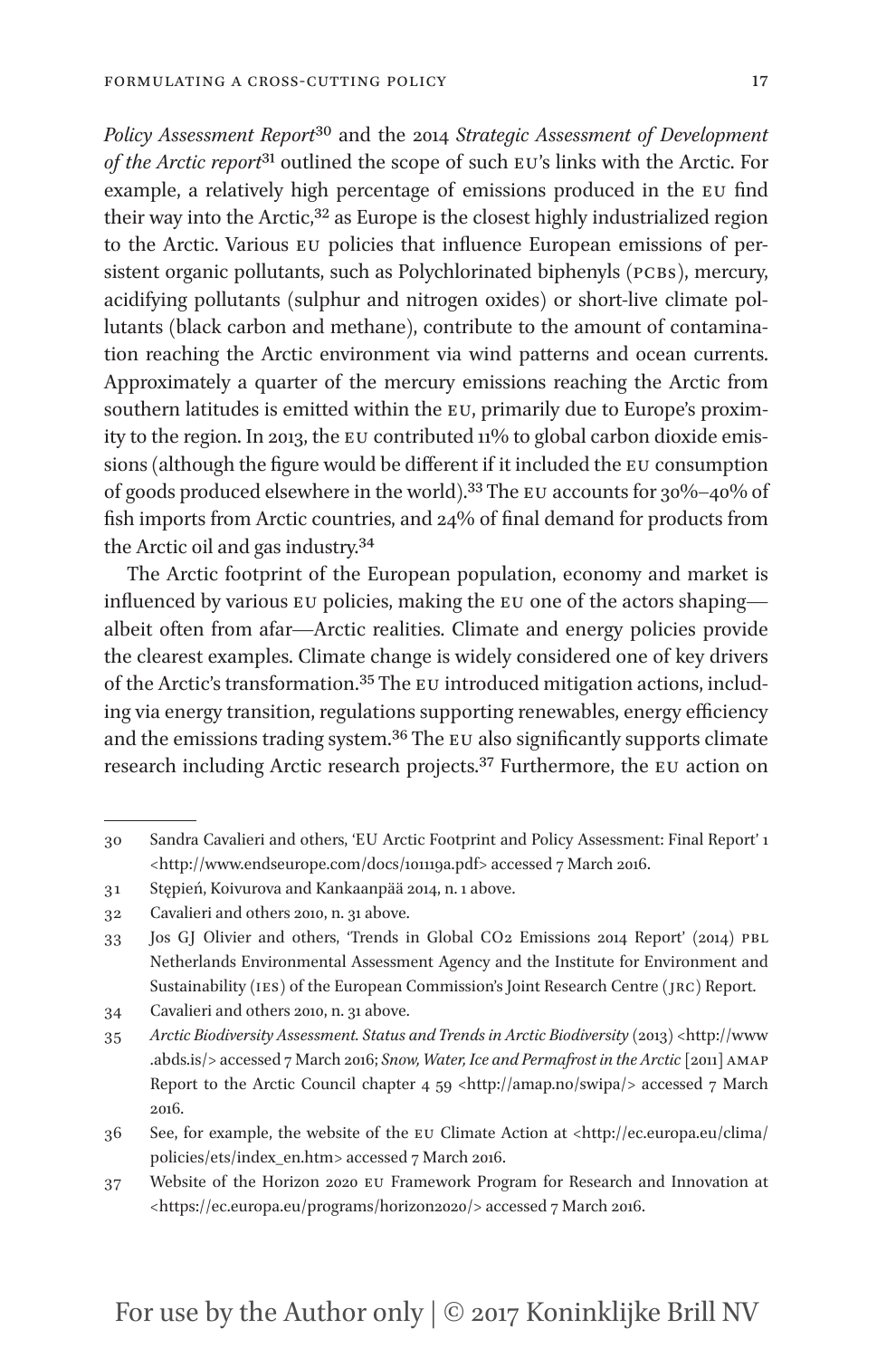*Policy Assessment Report*30 and the 2014 *Strategic Assessment of Development of the Arctic report*31 outlined the scope of such EU's links with the Arctic. For example, a relatively high percentage of emissions produced in the EU find their way into the Arctic,<sup>32</sup> as Europe is the closest highly industrialized region to the Arctic. Various EU policies that influence European emissions of persistent organic pollutants, such as Polychlorinated biphenyls (PCBs), mercury, acidifying pollutants (sulphur and nitrogen oxides) or short-live climate pollutants (black carbon and methane), contribute to the amount of contamination reaching the Arctic environment via wind patterns and ocean currents. Approximately a quarter of the mercury emissions reaching the Arctic from southern latitudes is emitted within the EU, primarily due to Europe's proximity to the region. In 2013, the EU contributed 11% to global carbon dioxide emissions (although the figure would be different if it included the EU consumption of goods produced elsewhere in the world).33 The EU accounts for 30%–40% of fish imports from Arctic countries, and 24% of final demand for products from the Arctic oil and gas industry.34

The Arctic footprint of the European population, economy and market is influenced by various EU policies, making the EU one of the actors shaping albeit often from afar—Arctic realities. Climate and energy policies provide the clearest examples. Climate change is widely considered one of key drivers of the Arctic's transformation.35 The EU introduced mitigation actions, including via energy transition, regulations supporting renewables, energy efficiency and the emissions trading system.<sup>36</sup> The EU also significantly supports climate research including Arctic research projects.<sup>37</sup> Furthermore, the EU action on

<sup>30</sup> Sandra Cavalieri and others, 'EU Arctic Footprint and Policy Assessment: Final Report' 1 [<http://www.endseurope.com/docs/101119a.pdf>](http://www.endseurope.com/docs/101119a.pdf) accessed 7 March 2016.

<sup>31</sup> Stępień, Koivurova and Kankaanpää 2014, n. 1 above.

<sup>32</sup> Cavalieri and others 2010, n. 31 above.

<sup>33</sup> Jos GJ Olivier and others, 'Trends in Global CO2 Emissions 2014 Report' (2014) PBL Netherlands Environmental Assessment Agency and the Institute for Environment and Sustainability (IES) of the European Commission's Joint Research Centre (JRC) Report.

<sup>34</sup> Cavalieri and others 2010, n. 31 above.

<sup>35</sup> *Arctic Biodiversity Assessment. Status and Trends in Arctic Biodiversity* (2013) <[http://www](http://www.abds.is/) [.abds.is/>](http://www.abds.is/) accessed 7 March 2016; *Snow, Water, Ice and Permafrost in the Arctic* [2011] AMAP Report to the Arctic Council chapter 4 59 [<http://amap.no/swipa/>](http://amap.no/swipa/) accessed 7 March 2016.

<sup>36</sup> See, for example, the website of the EU Climate Action at <[http://ec.europa.eu/clima/](http://ec.europa.eu/clima/policies/ets/index_en.htm) [policies/ets/index\\_en.htm>](http://ec.europa.eu/clima/policies/ets/index_en.htm) accessed 7 March 2016.

<sup>37</sup> Website of the Horizon 2020 EU Framework Program for Research and Innovation at [<https://ec.europa.eu/programs/horizon2020/](https://ec.europa.eu/programs/horizon2020/)> accessed 7 March 2016.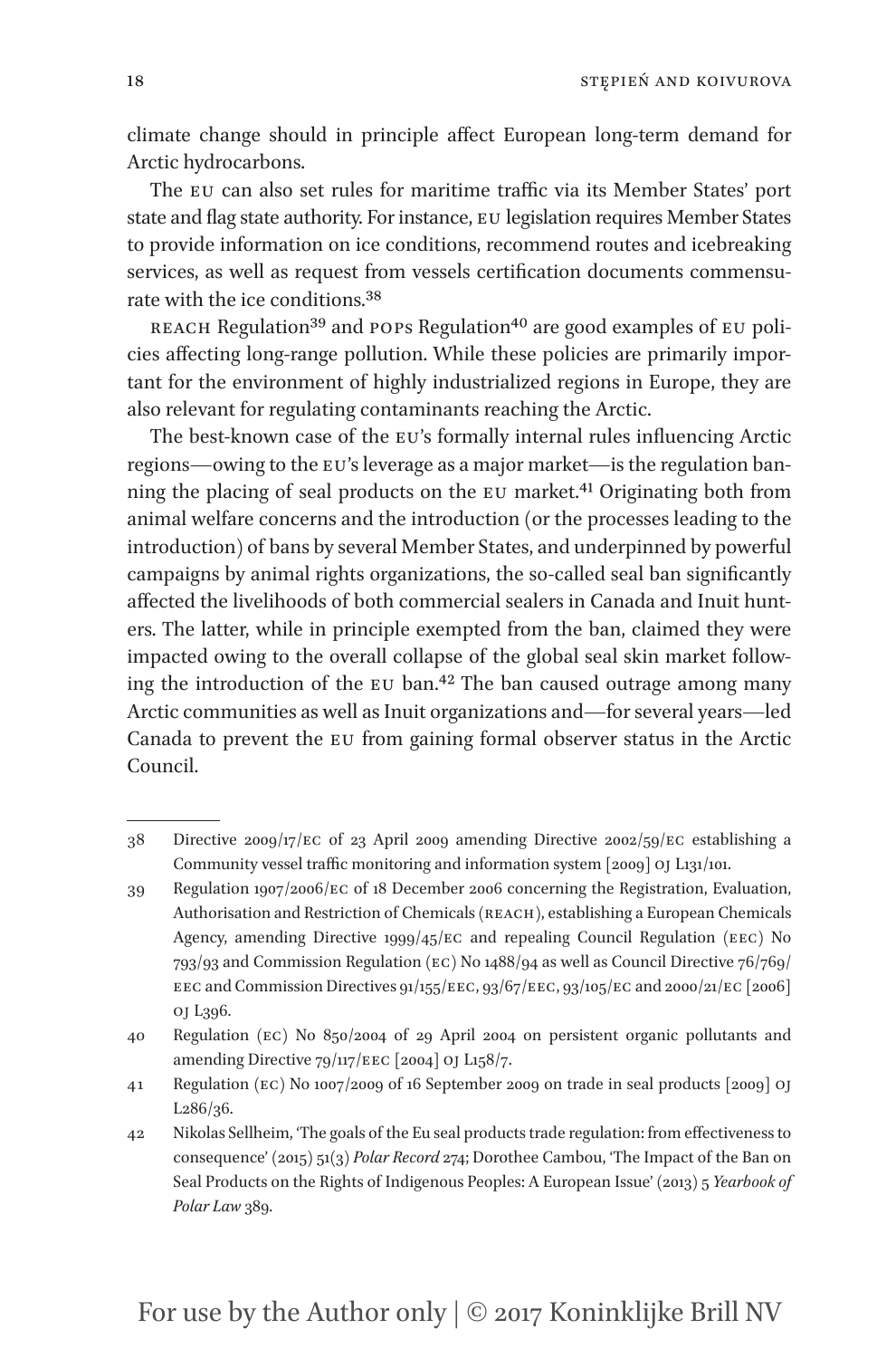climate change should in principle affect European long-term demand for Arctic hydrocarbons.

The EU can also set rules for maritime traffic via its Member States' port state and flag state authority. For instance, EU legislation requires Member States to provide information on ice conditions, recommend routes and icebreaking services, as well as request from vessels certification documents commensurate with the ice conditions.38

REACH Regulation<sup>39</sup> and POPs Regulation<sup>40</sup> are good examples of EU policies affecting long-range pollution. While these policies are primarily important for the environment of highly industrialized regions in Europe, they are also relevant for regulating contaminants reaching the Arctic.

The best-known case of the EU's formally internal rules influencing Arctic regions—owing to the EU's leverage as a major market—is the regulation banning the placing of seal products on the EU market.<sup>41</sup> Originating both from animal welfare concerns and the introduction (or the processes leading to the introduction) of bans by several Member States, and underpinned by powerful campaigns by animal rights organizations, the so-called seal ban significantly affected the livelihoods of both commercial sealers in Canada and Inuit hunters. The latter, while in principle exempted from the ban, claimed they were impacted owing to the overall collapse of the global seal skin market following the introduction of the EU ban.42 The ban caused outrage among many Arctic communities as well as Inuit organizations and—for several years—led Canada to prevent the EU from gaining formal observer status in the Arctic Council.

<sup>38</sup> Directive 2009/17/EC of 23 April 2009 amending Directive 2002/59/EC establishing a Community vessel traffic monitoring and information system [2009] OJ L131/101.

<sup>39</sup> Regulation 1907/2006/EC of 18 December 2006 concerning the Registration, Evaluation, Authorisation and Restriction of Chemicals (REACH), establishing a European Chemicals Agency, amending Directive 1999/45/EC and repealing Council Regulation (EEC) No 793/93 and Commission Regulation (EC) No 1488/94 as well as Council Directive 76/769/ EEC and Commission Directives  $91/155/EEC$ ,  $93/67/EEC$ ,  $93/105/EC$  and  $2000/21/EC$  [2006] OJ L396.

<sup>40</sup> Regulation (EC) No 850/2004 of 29 April 2004 on persistent organic pollutants and amending Directive 79/117/EEC [2004] OJ L158/7.

<sup>41</sup> Regulation (EC) No 1007/2009 of 16 September 2009 on trade in seal products [2009] OJ L286/36.

<sup>42</sup> Nikolas Sellheim, 'The goals of the Eu seal products trade regulation: from effectiveness to consequence' (2015) 51(3) *Polar Record* 274; Dorothee Cambou, 'The Impact of the Ban on Seal Products on the Rights of Indigenous Peoples: A European Issue' (2013) 5 *Yearbook of Polar Law* 389.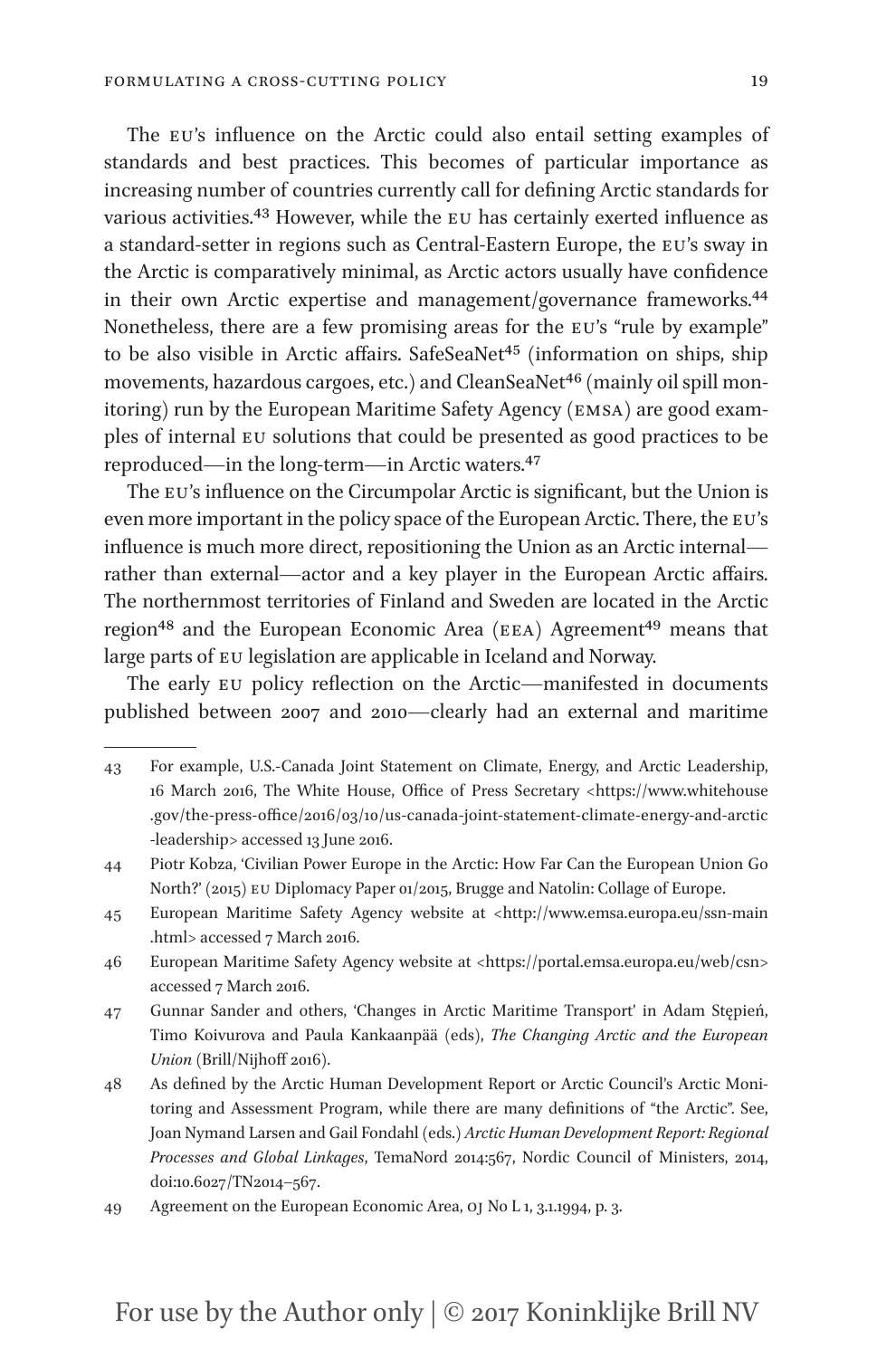The EU's influence on the Arctic could also entail setting examples of standards and best practices. This becomes of particular importance as increasing number of countries currently call for defining Arctic standards for various activities.43 However, while the EU has certainly exerted influence as a standard-setter in regions such as Central-Eastern Europe, the EU's sway in the Arctic is comparatively minimal, as Arctic actors usually have confidence in their own Arctic expertise and management/governance frameworks.<sup>44</sup> Nonetheless, there are a few promising areas for the EU's "rule by example" to be also visible in Arctic affairs. SafeSeaNet<sup>45</sup> (information on ships, ship movements, hazardous cargoes, etc.) and CleanSeaNet<sup>46</sup> (mainly oil spill monitoring) run by the European Maritime Safety Agency (EMSA) are good examples of internal EU solutions that could be presented as good practices to be reproduced—in the long-term—in Arctic waters.47

The EU's influence on the Circumpolar Arctic is significant, but the Union is even more important in the policy space of the European Arctic. There, the EU's influence is much more direct, repositioning the Union as an Arctic internal rather than external—actor and a key player in the European Arctic affairs. The northernmost territories of Finland and Sweden are located in the Arctic region<sup>48</sup> and the European Economic Area (EEA) Agreement<sup>49</sup> means that large parts of EU legislation are applicable in Iceland and Norway.

The early EU policy reflection on the Arctic—manifested in documents published between 2007 and 2010—clearly had an external and maritime

- 44 Piotr Kobza, 'Civilian Power Europe in the Arctic: How Far Can the European Union Go North?' (2015) EU Diplomacy Paper 01/2015, Brugge and Natolin: Collage of Europe.
- 45 European Maritime Safety Agency website at <[http://www.emsa.europa.eu/ssn-main](http://www.emsa.europa.eu/ssn-main.html) [.html](http://www.emsa.europa.eu/ssn-main.html)> accessed 7 March 2016.
- 46 European Maritime Safety Agency website at [<https://portal.emsa.europa.eu/web/csn>](https://portal.emsa.europa.eu/web/csn) accessed 7 March 2016.
- 47 Gunnar Sander and others, 'Changes in Arctic Maritime Transport' in Adam Stępień, Timo Koivurova and Paula Kankaanpää (eds), *The Changing Arctic and the European Union* (Brill/Nijhoff 2016).
- 48 As defined by the Arctic Human Development Report or Arctic Council's Arctic Monitoring and Assessment Program, while there are many definitions of "the Arctic". See, Joan Nymand Larsen and Gail Fondahl (eds.) *Arctic Human Development Report: Regional Processes and Global Linkages*, TemaNord 2014:567, Nordic Council of Ministers, 2014, doi:10.6027/TN2014–567.

<sup>43</sup> For example, U.S.-Canada Joint Statement on Climate, Energy, and Arctic Leadership, 16 March 2016, The White House, Office of Press Secretary [<https://www.whitehouse](https://www.whitehouse.gov/the-press-office/2016/03/10/us-canada-joint-statement-climate-energy-and-arctic-leadership) [.gov/the-press-office/2016/03/10/us-canada-joint-statement-climate-energy-and-arctic](https://www.whitehouse.gov/the-press-office/2016/03/10/us-canada-joint-statement-climate-energy-and-arctic-leadership) [-leadership](https://www.whitehouse.gov/the-press-office/2016/03/10/us-canada-joint-statement-climate-energy-and-arctic-leadership)> accessed 13 June 2016.

<sup>49</sup> Agreement on the European Economic Area, OJ No L 1, 3.1.1994, p. 3.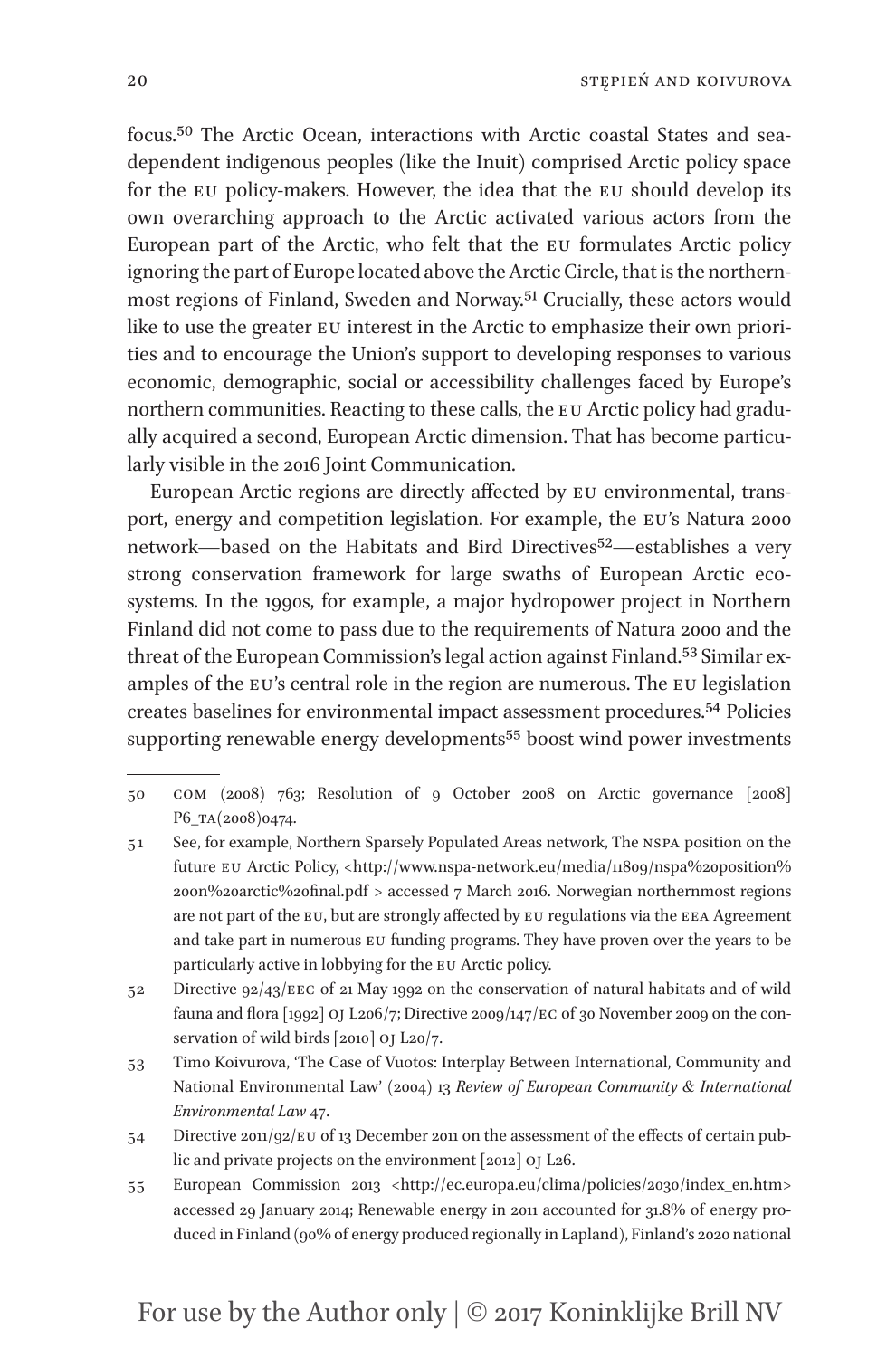focus.50 The Arctic Ocean, interactions with Arctic coastal States and seadependent indigenous peoples (like the Inuit) comprised Arctic policy space for the EU policy-makers. However, the idea that the EU should develop its own overarching approach to the Arctic activated various actors from the European part of the Arctic, who felt that the EU formulates Arctic policy ignoring the part of Europe located above the Arctic Circle, that is the northernmost regions of Finland, Sweden and Norway.51 Crucially, these actors would like to use the greater EU interest in the Arctic to emphasize their own priorities and to encourage the Union's support to developing responses to various economic, demographic, social or accessibility challenges faced by Europe's northern communities. Reacting to these calls, the EU Arctic policy had gradually acquired a second, European Arctic dimension. That has become particularly visible in the 2016 Joint Communication.

European Arctic regions are directly affected by EU environmental, transport, energy and competition legislation. For example, the EU's Natura 2000 network—based on the Habitats and Bird Directives<sup>52</sup>—establishes a very strong conservation framework for large swaths of European Arctic ecosystems. In the 1990s, for example, a major hydropower project in Northern Finland did not come to pass due to the requirements of Natura 2000 and the threat of the European Commission's legal action against Finland.<sup>53</sup> Similar examples of the EU's central role in the region are numerous. The EU legislation creates baselines for environmental impact assessment procedures.54 Policies supporting renewable energy developments<sup>55</sup> boost wind power investments

- 54 Directive 2011/92/EU of 13 December 2011 on the assessment of the effects of certain public and private projects on the environment [2012] OJ L26.
- 55 European Commission 2013 <[http://ec.europa.eu/clima/policies/2030/index\\_en.htm>](http://ec.europa.eu/clima/policies/2030/index_en.htm) accessed 29 January 2014; Renewable energy in 2011 accounted for 31.8% of energy produced in Finland (90% of energy produced regionally in Lapland), Finland's 2020 national

<sup>50</sup> COM (2008) 763; Resolution of 9 October 2008 on Arctic governance [2008] P6\_TA(2008)0474.

<sup>51</sup> See, for example, Northern Sparsely Populated Areas network, The NSPA position on the future EU Arctic Policy, [<http://www.nspa-network.eu/media/11809/nspa%20position%](http://www.nspa-network.eu/media/11809/nspa%20position%20on%20arctic%20final.pdf) [20on%20arctic%20final.pdf](http://www.nspa-network.eu/media/11809/nspa%20position%20on%20arctic%20final.pdf) > accessed 7 March 2016. Norwegian northernmost regions are not part of the EU, but are strongly affected by EU regulations via the EEA Agreement and take part in numerous EU funding programs. They have proven over the years to be particularly active in lobbying for the EU Arctic policy.

<sup>52</sup> Directive 92/43/EEC of 21 May 1992 on the conservation of natural habitats and of wild fauna and flora  $\lceil \log_2 \rceil$  OJ  $\text{L206}/7$ ; Directive 2009/147/EC of 30 November 2009 on the conservation of wild birds [2010] OJ L20/7.

<sup>53</sup> Timo Koivurova, 'The Case of Vuotos: Interplay Between International, Community and National Environmental Law' (2004) 13 *Review of European Community & International Environmental Law* 47.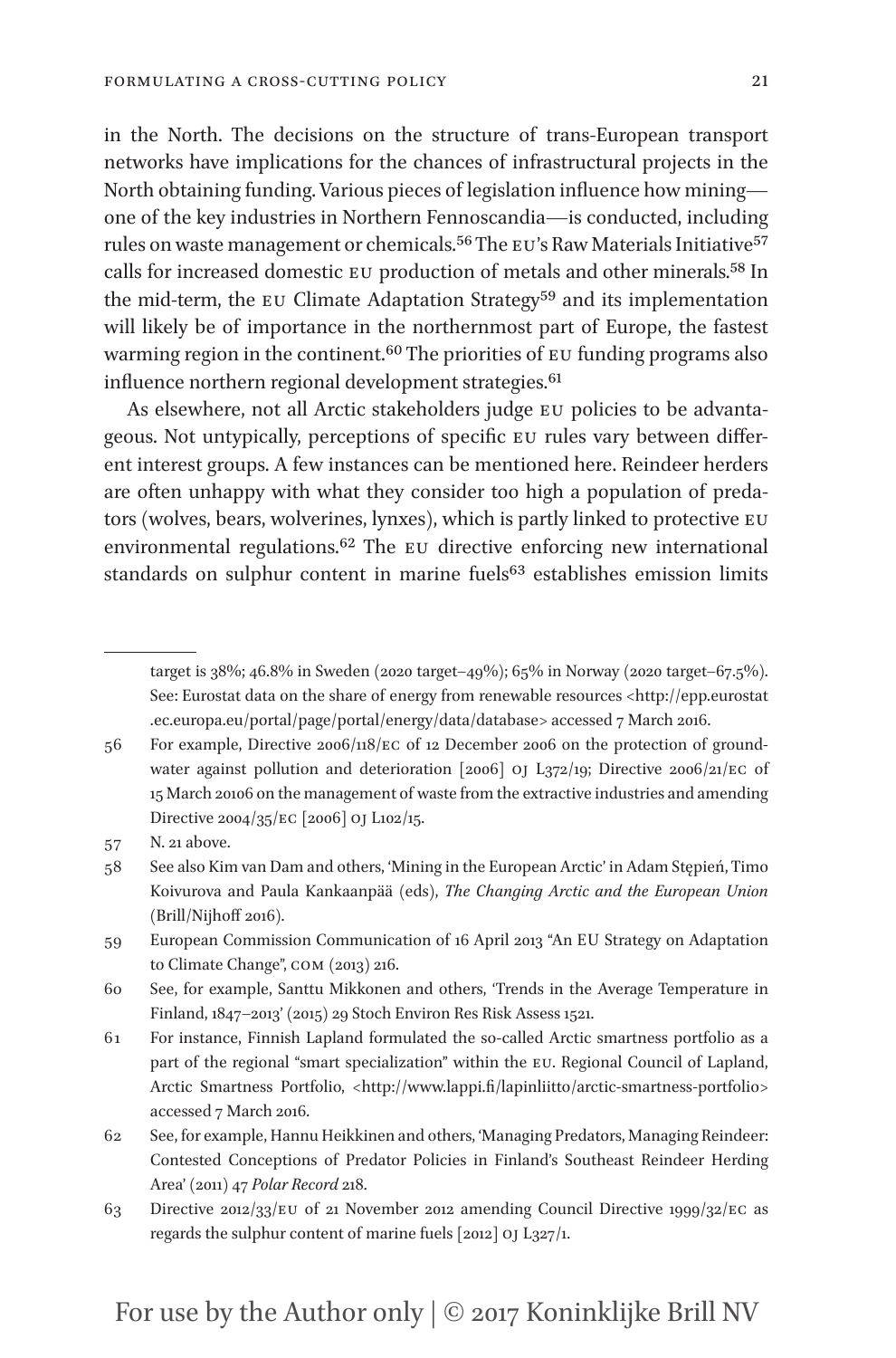in the North. The decisions on the structure of trans-European transport networks have implications for the chances of infrastructural projects in the North obtaining funding. Various pieces of legislation influence how mining one of the key industries in Northern Fennoscandia—is conducted, including rules on waste management or chemicals.<sup>56</sup> The EU's Raw Materials Initiative<sup>57</sup> calls for increased domestic EU production of metals and other minerals.58 In the mid-term, the EU Climate Adaptation Strategy<sup>59</sup> and its implementation will likely be of importance in the northernmost part of Europe, the fastest warming region in the continent.<sup>60</sup> The priorities of EU funding programs also influence northern regional development strategies.<sup>61</sup>

As elsewhere, not all Arctic stakeholders judge EU policies to be advantageous. Not untypically, perceptions of specific EU rules vary between different interest groups. A few instances can be mentioned here. Reindeer herders are often unhappy with what they consider too high a population of predators (wolves, bears, wolverines, lynxes), which is partly linked to protective EU environmental regulations.<sup>62</sup> The EU directive enforcing new international standards on sulphur content in marine fuels<sup>63</sup> establishes emission limits

target is 38%; 46.8% in Sweden (2020 target–49%); 65% in Norway (2020 target–67.5%). See: Eurostat data on the share of energy from renewable resources <[http://epp.eurostat](http://epp.eurostat.ec.europa.eu/portal/page/portal/energy/data/database) [.ec.europa.eu/portal/page/portal/energy/data/database](http://epp.eurostat.ec.europa.eu/portal/page/portal/energy/data/database)> accessed 7 March 2016.

<sup>56</sup> For example, Directive 2006/118/EC of 12 December 2006 on the protection of groundwater against pollution and deterioration [2006] OJ L372/19; Directive 2006/21/EC of 15 March 20106 on the management of waste from the extractive industries and amending Directive 2004/35/EC [2006] OJ L102/15.

<sup>57</sup> N. 21 above.

<sup>58</sup> See also Kim van Dam and others, 'Mining in the European Arctic' in Adam Stępień, Timo Koivurova and Paula Kankaanpää (eds), *The Changing Arctic and the European Union* (Brill/Nijhoff 2016).

<sup>59</sup> European Commission Communication of 16 April 2013 "An EU Strategy on Adaptation to Climate Change", COM (2013) 216.

<sup>60</sup> See, for example, Santtu Mikkonen and others, 'Trends in the Average Temperature in Finland, 1847–2013' (2015) 29 Stoch Environ Res Risk Assess 1521.

<sup>61</sup> For instance, Finnish Lapland formulated the so-called Arctic smartness portfolio as a part of the regional "smart specialization" within the EU. Regional Council of Lapland, Arctic Smartness Portfolio, [<http://www.lappi.fi/lapinliitto/arctic-smartness-portfolio>](http://www.lappi.fi/lapinliitto/arctic-smartness-portfolio) accessed 7 March 2016.

<sup>62</sup> See, for example, Hannu Heikkinen and others, 'Managing Predators, Managing Reindeer: Contested Conceptions of Predator Policies in Finland's Southeast Reindeer Herding Area' (2011) 47 *Polar Record* 218.

<sup>63</sup> Directive 2012/33/EU of 21 November 2012 amending Council Directive 1999/32/EC as regards the sulphur content of marine fuels [2012] OJ L327/1.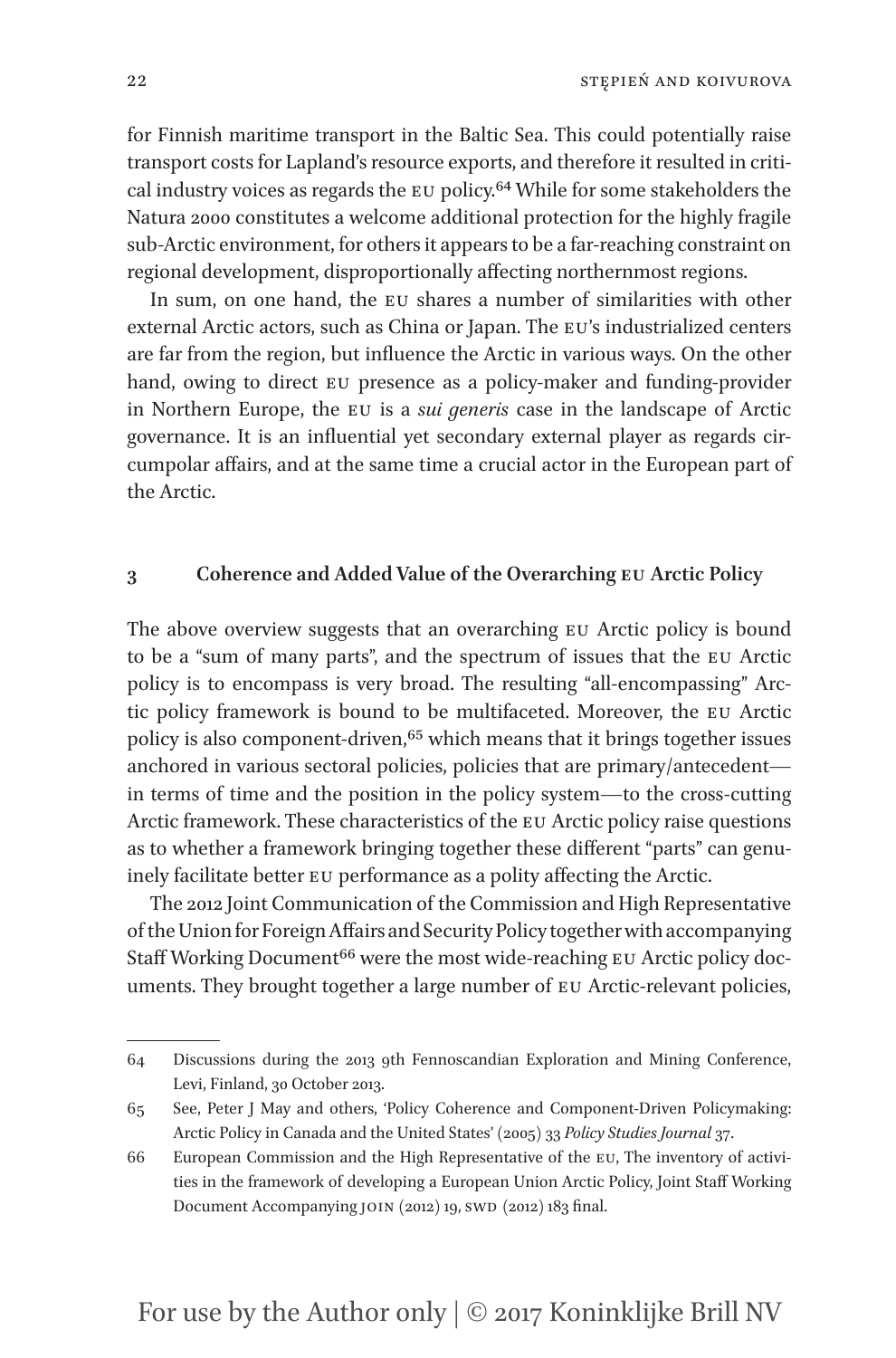for Finnish maritime transport in the Baltic Sea. This could potentially raise transport costs for Lapland's resource exports, and therefore it resulted in critical industry voices as regards the EU policy.64 While for some stakeholders the Natura 2000 constitutes a welcome additional protection for the highly fragile sub-Arctic environment, for others it appears to be a far-reaching constraint on regional development, disproportionally affecting northernmost regions.

In sum, on one hand, the EU shares a number of similarities with other external Arctic actors, such as China or Japan. The EU's industrialized centers are far from the region, but influence the Arctic in various ways. On the other hand, owing to direct EU presence as a policy-maker and funding-provider in Northern Europe, the EU is a *sui generis* case in the landscape of Arctic governance. It is an influential yet secondary external player as regards circumpolar affairs, and at the same time a crucial actor in the European part of the Arctic.

#### **3 Coherence and Added Value of the Overarching EU Arctic Policy**

The above overview suggests that an overarching EU Arctic policy is bound to be a "sum of many parts", and the spectrum of issues that the EU Arctic policy is to encompass is very broad. The resulting "all-encompassing" Arctic policy framework is bound to be multifaceted. Moreover, the EU Arctic policy is also component-driven,<sup>65</sup> which means that it brings together issues anchored in various sectoral policies, policies that are primary/antecedent in terms of time and the position in the policy system—to the cross-cutting Arctic framework. These characteristics of the EU Arctic policy raise questions as to whether a framework bringing together these different "parts" can genuinely facilitate better EU performance as a polity affecting the Arctic.

The 2012 Joint Communication of the Commission and High Representative of the Union for Foreign Affairs and Security Policy together with accompanying Staff Working Document<sup>66</sup> were the most wide-reaching EU Arctic policy documents. They brought together a large number of EU Arctic-relevant policies,

<sup>64</sup> Discussions during the 2013 9th Fennoscandian Exploration and Mining Conference, Levi, Finland, 30 October 2013.

<sup>65</sup> See, Peter J May and others, 'Policy Coherence and Component-Driven Policymaking: Arctic Policy in Canada and the United States' (2005) 33 *Policy Studies Journal* 37.

<sup>66</sup> European Commission and the High Representative of the EU, The inventory of activities in the framework of developing a European Union Arctic Policy, Joint Staff Working Document Accompanying JOIN (2012) 19, SWD (2012) 183 final.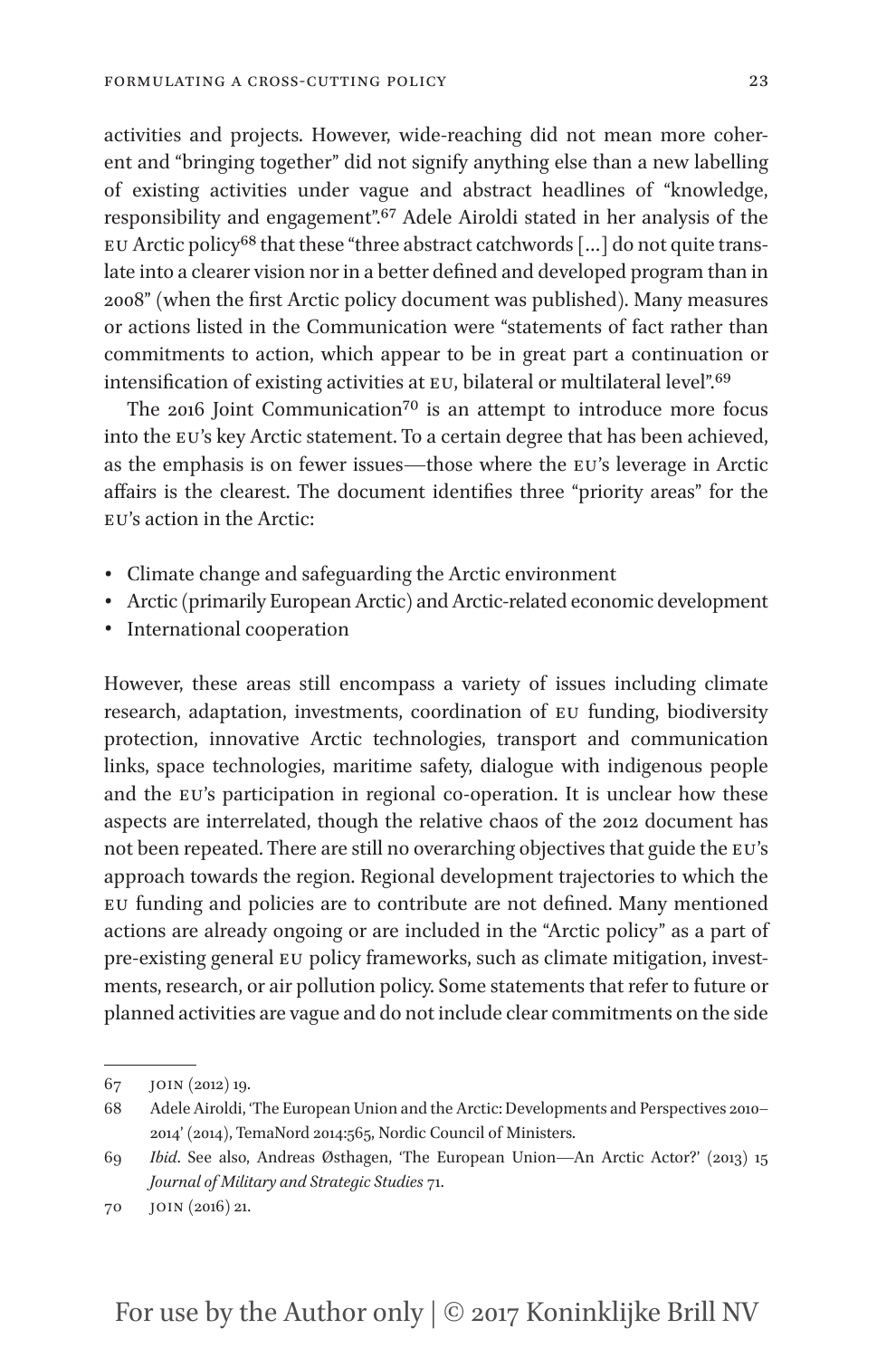activities and projects. However, wide-reaching did not mean more coherent and "bringing together" did not signify anything else than a new labelling of existing activities under vague and abstract headlines of "knowledge, responsibility and engagement".67 Adele Airoldi stated in her analysis of the EU Arctic policy<sup>68</sup> that these "three abstract catchwords [...] do not quite translate into a clearer vision nor in a better defined and developed program than in 2008" (when the first Arctic policy document was published). Many measures or actions listed in the Communication were "statements of fact rather than commitments to action, which appear to be in great part a continuation or intensification of existing activities at EU, bilateral or multilateral level".69

The 2016 Joint Communication<sup>70</sup> is an attempt to introduce more focus into the EU's key Arctic statement. To a certain degree that has been achieved, as the emphasis is on fewer issues—those where the EU's leverage in Arctic affairs is the clearest. The document identifies three "priority areas" for the EU's action in the Arctic:

- Climate change and safeguarding the Arctic environment
- Arctic (primarily European Arctic) and Arctic-related economic development
- International cooperation

However, these areas still encompass a variety of issues including climate research, adaptation, investments, coordination of EU funding, biodiversity protection, innovative Arctic technologies, transport and communication links, space technologies, maritime safety, dialogue with indigenous people and the EU's participation in regional co-operation. It is unclear how these aspects are interrelated, though the relative chaos of the 2012 document has not been repeated. There are still no overarching objectives that guide the EU's approach towards the region. Regional development trajectories to which the EU funding and policies are to contribute are not defined. Many mentioned actions are already ongoing or are included in the "Arctic policy" as a part of pre-existing general EU policy frameworks, such as climate mitigation, investments, research, or air pollution policy. Some statements that refer to future or planned activities are vague and do not include clear commitments on the side

<sup>67</sup> JOIN (2012) 19.

<sup>68</sup> Adele Airoldi, 'The European Union and the Arctic: Developments and Perspectives 2010– 2014' (2014), TemaNord 2014:565, Nordic Council of Ministers.

<sup>69</sup> *Ibid*. See also, Andreas Østhagen, 'The European Union—An Arctic Actor?' (2013) 15 *Journal of Military and Strategic Studies* 71.

<sup>70</sup> JOIN (2016) 21.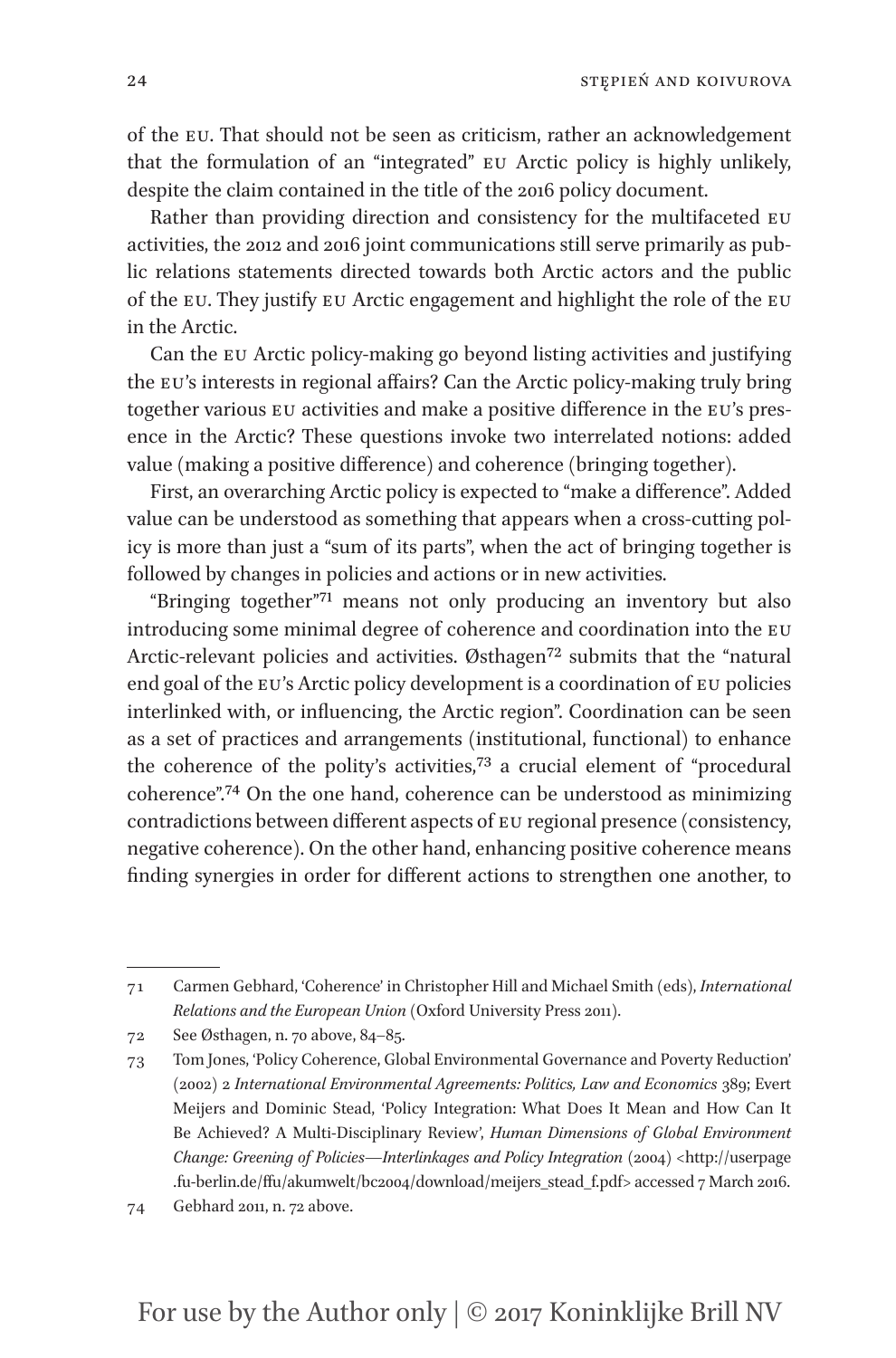of the EU. That should not be seen as criticism, rather an acknowledgement that the formulation of an "integrated" EU Arctic policy is highly unlikely, despite the claim contained in the title of the 2016 policy document.

Rather than providing direction and consistency for the multifaceted EU activities, the 2012 and 2016 joint communications still serve primarily as public relations statements directed towards both Arctic actors and the public of the EU. They justify EU Arctic engagement and highlight the role of the EU in the Arctic.

Can the EU Arctic policy-making go beyond listing activities and justifying the EU's interests in regional affairs? Can the Arctic policy-making truly bring together various EU activities and make a positive difference in the EU's presence in the Arctic? These questions invoke two interrelated notions: added value (making a positive difference) and coherence (bringing together).

First, an overarching Arctic policy is expected to "make a difference". Added value can be understood as something that appears when a cross-cutting policy is more than just a "sum of its parts", when the act of bringing together is followed by changes in policies and actions or in new activities.

"Bringing together"71 means not only producing an inventory but also introducing some minimal degree of coherence and coordination into the EU Arctic-relevant policies and activities. Østhagen<sup>72</sup> submits that the "natural end goal of the EU's Arctic policy development is a coordination of EU policies interlinked with, or influencing, the Arctic region". Coordination can be seen as a set of practices and arrangements (institutional, functional) to enhance the coherence of the polity's activities,73 a crucial element of "procedural coherence".74 On the one hand, coherence can be understood as minimizing contradictions between different aspects of EU regional presence (consistency, negative coherence). On the other hand, enhancing positive coherence means finding synergies in order for different actions to strengthen one another, to

<sup>71</sup> Carmen Gebhard, 'Coherence' in Christopher Hill and Michael Smith (eds), *International Relations and the European Union* (Oxford University Press 2011).

<sup>72</sup> See Østhagen, n. 70 above, 84–85.

<sup>73</sup> Tom Jones, 'Policy Coherence, Global Environmental Governance and Poverty Reduction' (2002) 2 *International Environmental Agreements: Politics, Law and Economics* 389; Evert Meijers and Dominic Stead, 'Policy Integration: What Does It Mean and How Can It Be Achieved? A Multi-Disciplinary Review', *Human Dimensions of Global Environment Change: Greening of Policies—Interlinkages and Policy Integration* (2004) [<http://userpage](http://userpage.fu-berlin.de/ffu/akumwelt/bc2004/download/meijers_stead_f.pdf) [.fu-berlin.de/ffu/akumwelt/bc2004/download/meijers\\_stead\\_f.pdf](http://userpage.fu-berlin.de/ffu/akumwelt/bc2004/download/meijers_stead_f.pdf)> accessed 7 March 2016.

<sup>74</sup> Gebhard 2011, n. 72 above.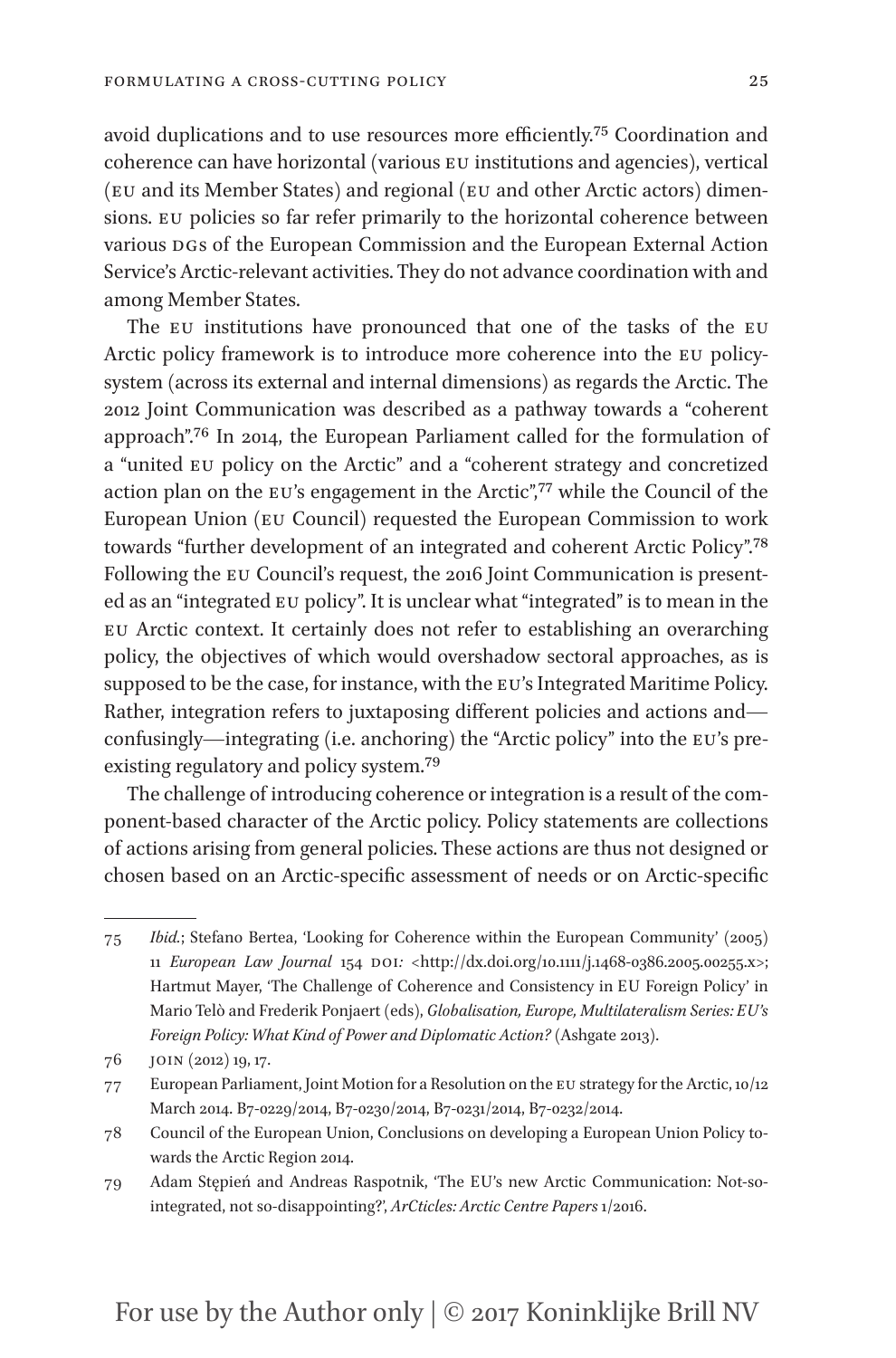avoid duplications and to use resources more efficiently.75 Coordination and coherence can have horizontal (various EU institutions and agencies), vertical (EU and its Member States) and regional (EU and other Arctic actors) dimensions. EU policies so far refer primarily to the horizontal coherence between various DGs of the European Commission and the European External Action Service's Arctic-relevant activities. They do not advance coordination with and among Member States.

The EU institutions have pronounced that one of the tasks of the EU Arctic policy framework is to introduce more coherence into the EU policysystem (across its external and internal dimensions) as regards the Arctic. The 2012 Joint Communication was described as a pathway towards a "coherent approach".76 In 2014, the European Parliament called for the formulation of a "united EU policy on the Arctic" and a "coherent strategy and concretized action plan on the EU's engagement in the Arctic",<sup>77</sup> while the Council of the European Union (EU Council) requested the European Commission to work towards "further development of an integrated and coherent Arctic Policy".<sup>78</sup> Following the EU Council's request, the 2016 Joint Communication is presented as an "integrated EU policy". It is unclear what "integrated" is to mean in the EU Arctic context. It certainly does not refer to establishing an overarching policy, the objectives of which would overshadow sectoral approaches, as is supposed to be the case, for instance, with the EU's Integrated Maritime Policy. Rather, integration refers to juxtaposing different policies and actions and confusingly—integrating (i.e. anchoring) the "Arctic policy" into the EU's preexisting regulatory and policy system.79

The challenge of introducing coherence or integration is a result of the component-based character of the Arctic policy. Policy statements are collections of actions arising from general policies. These actions are thus not designed or chosen based on an Arctic-specific assessment of needs or on Arctic-specific

<sup>75</sup> *Ibid.*; Stefano Bertea, 'Looking for Coherence within the European Community' (2005) 11 *European Law Journal* 154 DOI*: <*[http://dx.doi.org/10.1111/j.1468-0386.2005.00255.x>](http://dx.doi.org/10.1111/j.1468-0386.2005.00255.x); Hartmut Mayer, 'The Challenge of Coherence and Consistency in EU Foreign Policy' in Mario Telò and Frederik Ponjaert (eds), *Globalisation, Europe, Multilateralism Series: EU's Foreign Policy: What Kind of Power and Diplomatic Action?* (Ashgate 2013).

<sup>76</sup> JOIN (2012) 19, 17.

<sup>77</sup> European Parliament, Joint Motion for a Resolution on the EU strategy for the Arctic, 10/12 March 2014. B7-0229/2014, B7-0230/2014, B7-0231/2014, B7-0232/2014.

<sup>78</sup> Council of the European Union, Conclusions on developing a European Union Policy towards the Arctic Region 2014.

<sup>79</sup> Adam Stępień and Andreas Raspotnik, 'The EU's new Arctic Communication: Not-sointegrated, not so-disappointing?', *ArCticles: Arctic Centre Papers* 1/2016.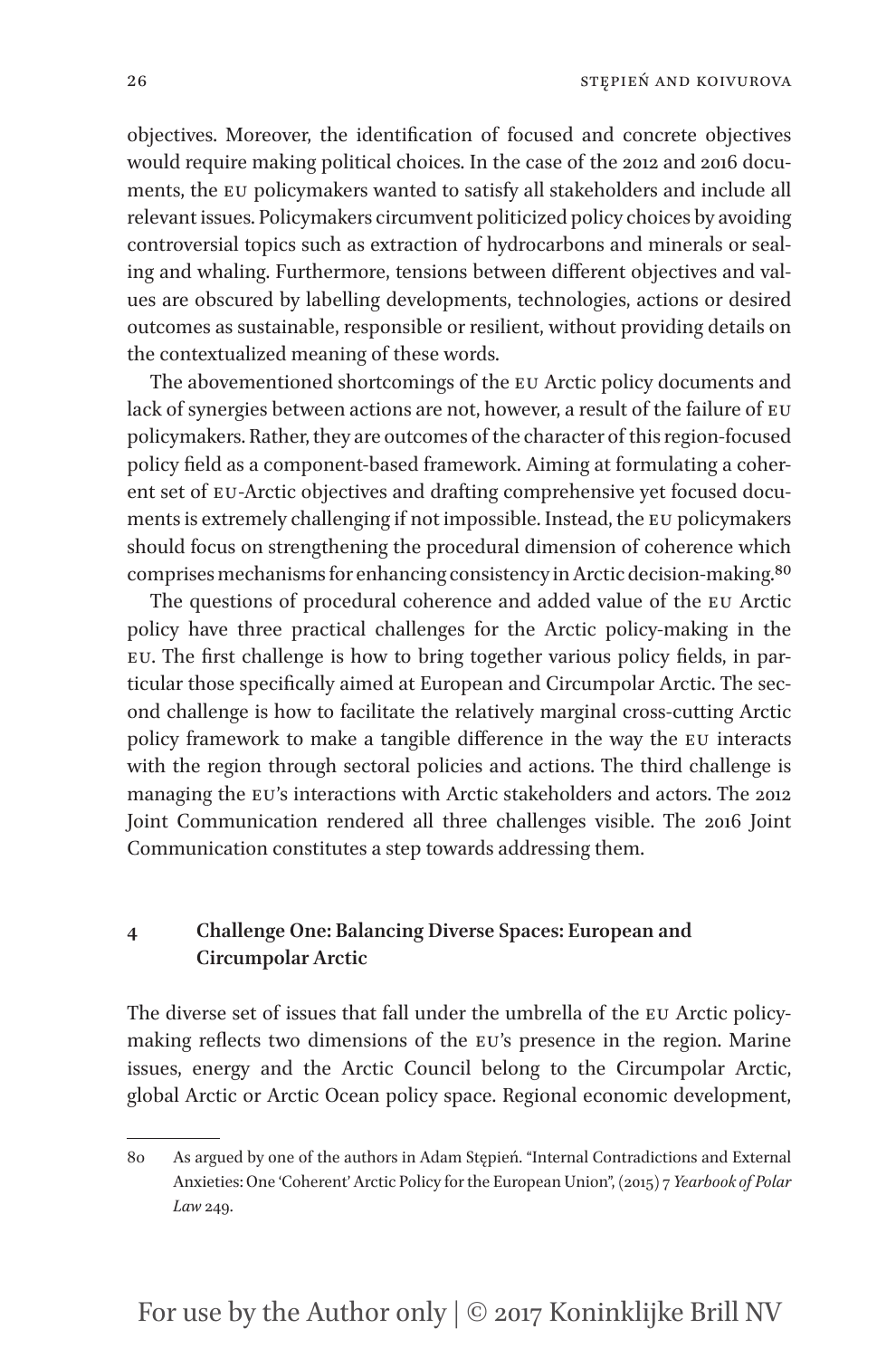objectives. Moreover, the identification of focused and concrete objectives would require making political choices. In the case of the 2012 and 2016 documents, the EU policymakers wanted to satisfy all stakeholders and include all relevant issues. Policymakers circumvent politicized policy choices by avoiding controversial topics such as extraction of hydrocarbons and minerals or sealing and whaling. Furthermore, tensions between different objectives and values are obscured by labelling developments, technologies, actions or desired outcomes as sustainable, responsible or resilient, without providing details on the contextualized meaning of these words.

The abovementioned shortcomings of the EU Arctic policy documents and lack of synergies between actions are not, however, a result of the failure of EU policymakers. Rather, they are outcomes of the character of this region-focused policy field as a component-based framework. Aiming at formulating a coherent set of EU-Arctic objectives and drafting comprehensive yet focused documents is extremely challenging if not impossible. Instead, the EU policymakers should focus on strengthening the procedural dimension of coherence which comprises mechanisms for enhancing consistency in Arctic decision-making.80

The questions of procedural coherence and added value of the EU Arctic policy have three practical challenges for the Arctic policy-making in the EU. The first challenge is how to bring together various policy fields, in particular those specifically aimed at European and Circumpolar Arctic. The second challenge is how to facilitate the relatively marginal cross-cutting Arctic policy framework to make a tangible difference in the way the EU interacts with the region through sectoral policies and actions. The third challenge is managing the EU's interactions with Arctic stakeholders and actors. The 2012 Joint Communication rendered all three challenges visible. The 2016 Joint Communication constitutes a step towards addressing them.

#### **4 Challenge One: Balancing Diverse Spaces: European and Circumpolar Arctic**

The diverse set of issues that fall under the umbrella of the EU Arctic policymaking reflects two dimensions of the EU's presence in the region. Marine issues, energy and the Arctic Council belong to the Circumpolar Arctic, global Arctic or Arctic Ocean policy space. Regional economic development,

<sup>80</sup> As argued by one of the authors in Adam Stępień. "Internal Contradictions and External Anxieties: One 'Coherent' Arctic Policy for the European Union", (2015) 7 *Yearbook of Polar Law* 249.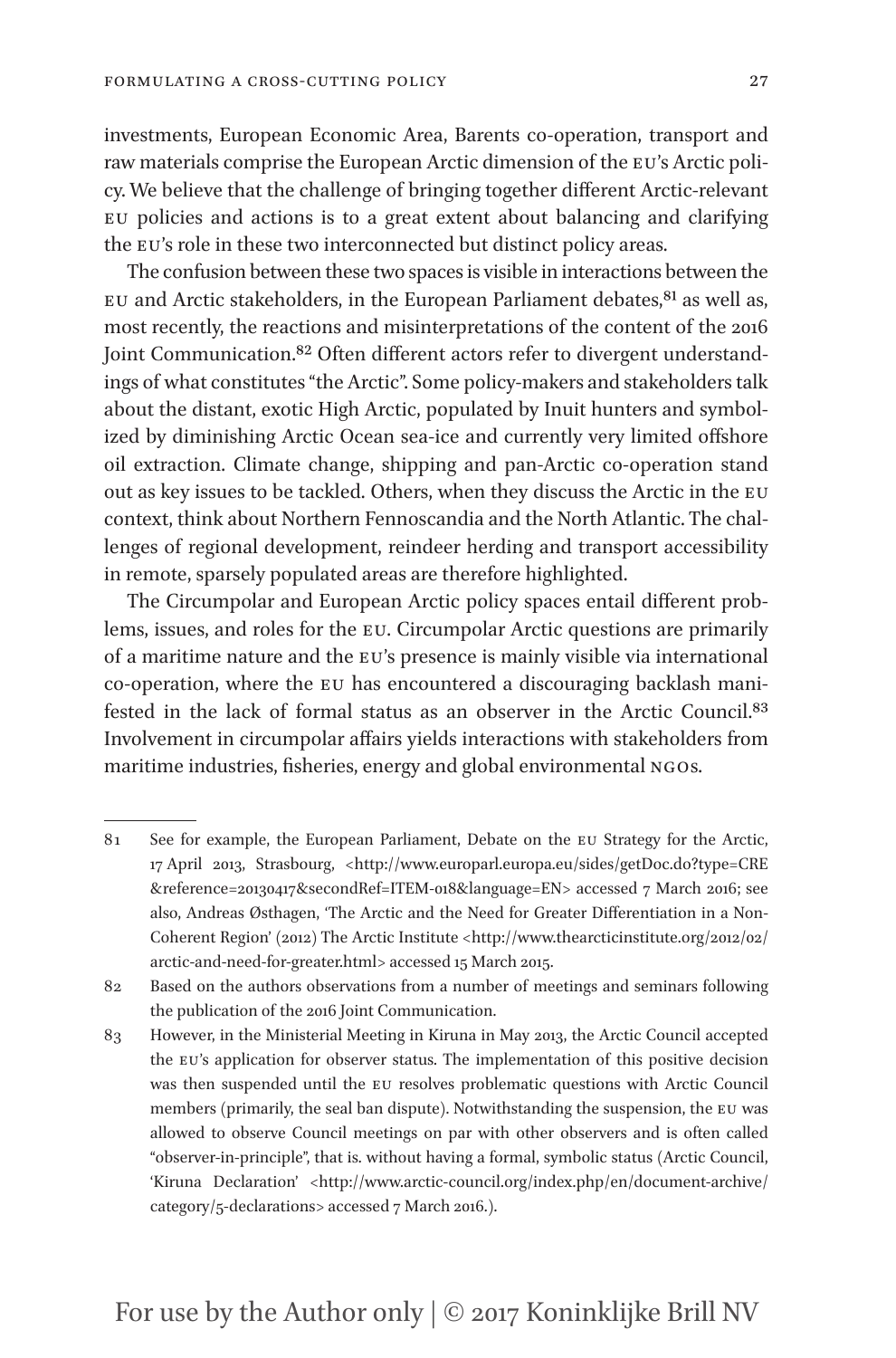investments, European Economic Area, Barents co-operation, transport and raw materials comprise the European Arctic dimension of the EU's Arctic policy. We believe that the challenge of bringing together different Arctic-relevant EU policies and actions is to a great extent about balancing and clarifying the EU's role in these two interconnected but distinct policy areas.

The confusion between these two spaces is visible in interactions between the EU and Arctic stakeholders, in the European Parliament debates, <sup>81</sup> as well as, most recently, the reactions and misinterpretations of the content of the 2016 Joint Communication.82 Often different actors refer to divergent understandings of what constitutes "the Arctic". Some policy-makers and stakeholders talk about the distant, exotic High Arctic, populated by Inuit hunters and symbolized by diminishing Arctic Ocean sea-ice and currently very limited offshore oil extraction. Climate change, shipping and pan-Arctic co-operation stand out as key issues to be tackled. Others, when they discuss the Arctic in the EU context, think about Northern Fennoscandia and the North Atlantic. The challenges of regional development, reindeer herding and transport accessibility in remote, sparsely populated areas are therefore highlighted.

The Circumpolar and European Arctic policy spaces entail different problems, issues, and roles for the EU. Circumpolar Arctic questions are primarily of a maritime nature and the EU's presence is mainly visible via international co-operation, where the EU has encountered a discouraging backlash manifested in the lack of formal status as an observer in the Arctic Council.83 Involvement in circumpolar affairs yields interactions with stakeholders from maritime industries, fisheries, energy and global environmental NGOs.

- 81 See for example, the European Parliament, Debate on the EU Strategy for the Arctic, 17 April 2013, Strasbourg, <[http://www.europarl.europa.eu/sides/getDoc.do?type=CRE](http://www.europarl.europa.eu/sides/getDoc.do?type=cre&reference=20130417&secondref=item-018&language=en) [&reference=20130417&secondRef=ITEM-018&language=EN>](http://www.europarl.europa.eu/sides/getDoc.do?type=cre&reference=20130417&secondref=item-018&language=en) accessed 7 March 2016; see also, Andreas Østhagen, 'The Arctic and the Need for Greater Differentiation in a Non-Coherent Region' (2012) The Arctic Institute [<http://www.thearcticinstitute.org/2012/02/](http://www.thearcticinstitute.org/2012/02/arctic-and-need-for-greater.html) [arctic-and-need-for-greater.html>](http://www.thearcticinstitute.org/2012/02/arctic-and-need-for-greater.html) accessed 15 March 2015.
- 82 Based on the authors observations from a number of meetings and seminars following the publication of the 2016 Joint Communication.
- 83 However, in the Ministerial Meeting in Kiruna in May 2013, the Arctic Council accepted the EU's application for observer status. The implementation of this positive decision was then suspended until the EU resolves problematic questions with Arctic Council members (primarily, the seal ban dispute). Notwithstanding the suspension, the EU was allowed to observe Council meetings on par with other observers and is often called "observer-in-principle", that is. without having a formal, symbolic status (Arctic Council, 'Kiruna Declaration' <[http://www.arctic-council.org/index.php/en/document-archive/](http://www.arctic-council.org/index.php/en/document-archive/category/5-declarations) [category/5-declarations>](http://www.arctic-council.org/index.php/en/document-archive/category/5-declarations) accessed 7 March 2016.).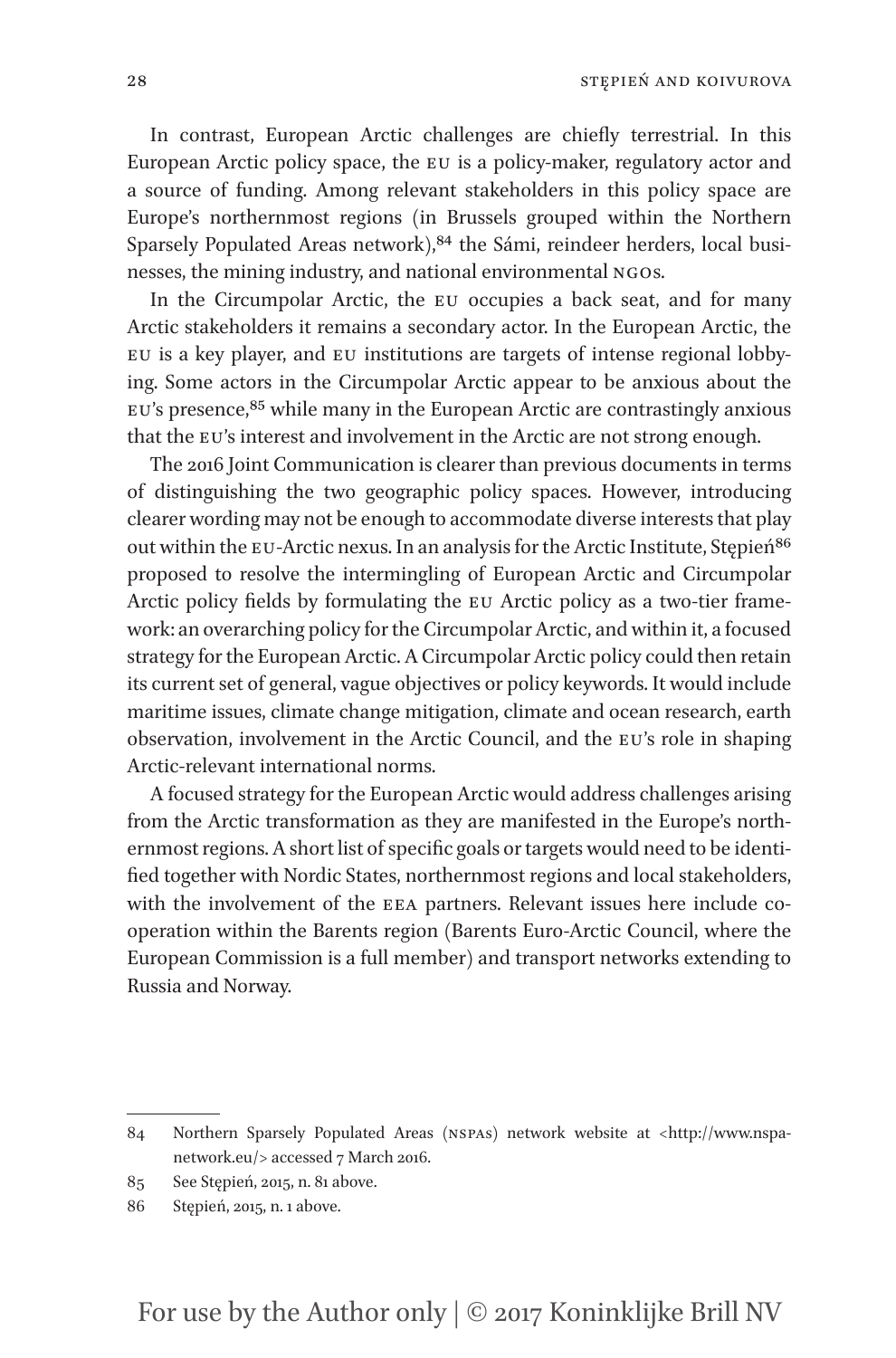In contrast, European Arctic challenges are chiefly terrestrial. In this European Arctic policy space, the EU is a policy-maker, regulatory actor and a source of funding. Among relevant stakeholders in this policy space are Europe's northernmost regions (in Brussels grouped within the Northern Sparsely Populated Areas network), 84 the Sámi, reindeer herders, local businesses, the mining industry, and national environmental NGOs.

In the Circumpolar Arctic, the EU occupies a back seat, and for many Arctic stakeholders it remains a secondary actor. In the European Arctic, the EU is a key player, and EU institutions are targets of intense regional lobbying. Some actors in the Circumpolar Arctic appear to be anxious about the EU's presence,85 while many in the European Arctic are contrastingly anxious that the EU's interest and involvement in the Arctic are not strong enough.

The 2016 Joint Communication is clearer than previous documents in terms of distinguishing the two geographic policy spaces. However, introducing clearer wording may not be enough to accommodate diverse interests that play out within the EU-Arctic nexus. In an analysis for the Arctic Institute, Stępień<sup>86</sup> proposed to resolve the intermingling of European Arctic and Circumpolar Arctic policy fields by formulating the EU Arctic policy as a two-tier framework: an overarching policy for the Circumpolar Arctic, and within it, a focused strategy for the European Arctic. A Circumpolar Arctic policy could then retain its current set of general, vague objectives or policy keywords. It would include maritime issues, climate change mitigation, climate and ocean research, earth observation, involvement in the Arctic Council, and the EU's role in shaping Arctic-relevant international norms.

A focused strategy for the European Arctic would address challenges arising from the Arctic transformation as they are manifested in the Europe's northernmost regions. A short list of specific goals or targets would need to be identified together with Nordic States, northernmost regions and local stakeholders, with the involvement of the EEA partners. Relevant issues here include cooperation within the Barents region (Barents Euro-Arctic Council, where the European Commission is a full member) and transport networks extending to Russia and Norway.

<sup>84</sup> Northern Sparsely Populated Areas (NSPAs) network website at <[http://www.nspa](http://www.nspa-network.eu/)[network.eu/](http://www.nspa-network.eu/)> accessed 7 March 2016.

<sup>85</sup> See Stępień, 2015, n. 81 above.

<sup>86</sup> Stępień, 2015, n. 1 above.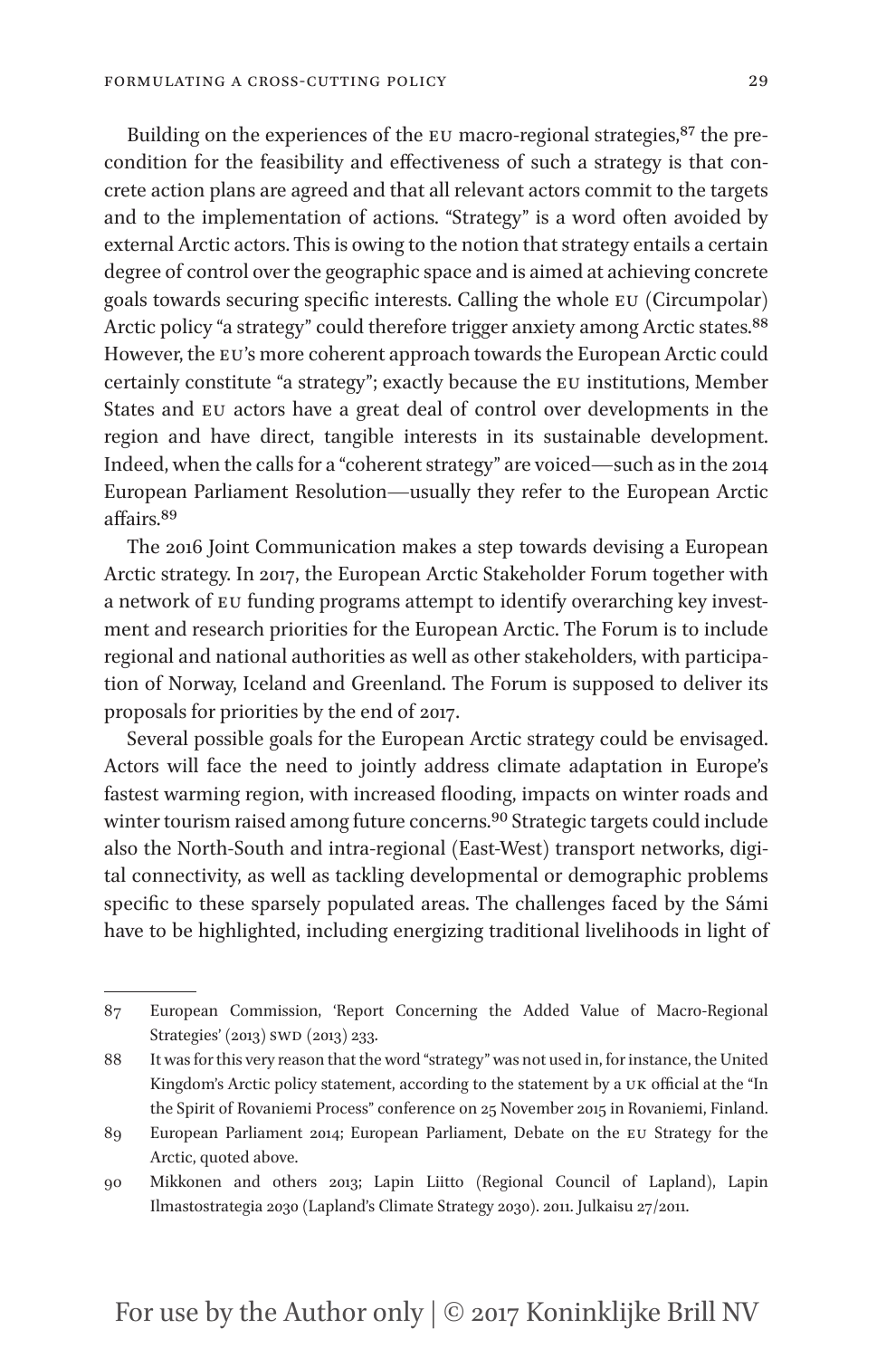Building on the experiences of the EU macro-regional strategies,<sup>87</sup> the precondition for the feasibility and effectiveness of such a strategy is that concrete action plans are agreed and that all relevant actors commit to the targets and to the implementation of actions. "Strategy" is a word often avoided by external Arctic actors. This is owing to the notion that strategy entails a certain degree of control over the geographic space and is aimed at achieving concrete goals towards securing specific interests. Calling the whole EU (Circumpolar) Arctic policy "a strategy" could therefore trigger anxiety among Arctic states.<sup>88</sup> However, the EU's more coherent approach towards the European Arctic could certainly constitute "a strategy"; exactly because the EU institutions, Member States and EU actors have a great deal of control over developments in the region and have direct, tangible interests in its sustainable development. Indeed, when the calls for a "coherent strategy" are voiced—such as in the 2014 European Parliament Resolution—usually they refer to the European Arctic affairs.89

The 2016 Joint Communication makes a step towards devising a European Arctic strategy. In 2017, the European Arctic Stakeholder Forum together with a network of EU funding programs attempt to identify overarching key investment and research priorities for the European Arctic. The Forum is to include regional and national authorities as well as other stakeholders, with participation of Norway, Iceland and Greenland. The Forum is supposed to deliver its proposals for priorities by the end of 2017.

Several possible goals for the European Arctic strategy could be envisaged. Actors will face the need to jointly address climate adaptation in Europe's fastest warming region, with increased flooding, impacts on winter roads and winter tourism raised among future concerns.<sup>90</sup> Strategic targets could include also the North-South and intra-regional (East-West) transport networks, digital connectivity, as well as tackling developmental or demographic problems specific to these sparsely populated areas. The challenges faced by the Sámi have to be highlighted, including energizing traditional livelihoods in light of

<sup>87</sup> European Commission, 'Report Concerning the Added Value of Macro-Regional Strategies' (2013) SWD (2013) 233.

<sup>88</sup> It was for this very reason that the word "strategy" was not used in, for instance, the United Kingdom's Arctic policy statement, according to the statement by a UK official at the "In the Spirit of Rovaniemi Process" conference on 25 November 2015 in Rovaniemi, Finland.

<sup>89</sup> European Parliament 2014; European Parliament, Debate on the EU Strategy for the Arctic, quoted above.

<sup>90</sup> Mikkonen and others 2013; Lapin Liitto (Regional Council of Lapland), Lapin Ilmastostrategia 2030 (Lapland's Climate Strategy 2030). 2011. Julkaisu 27/2011.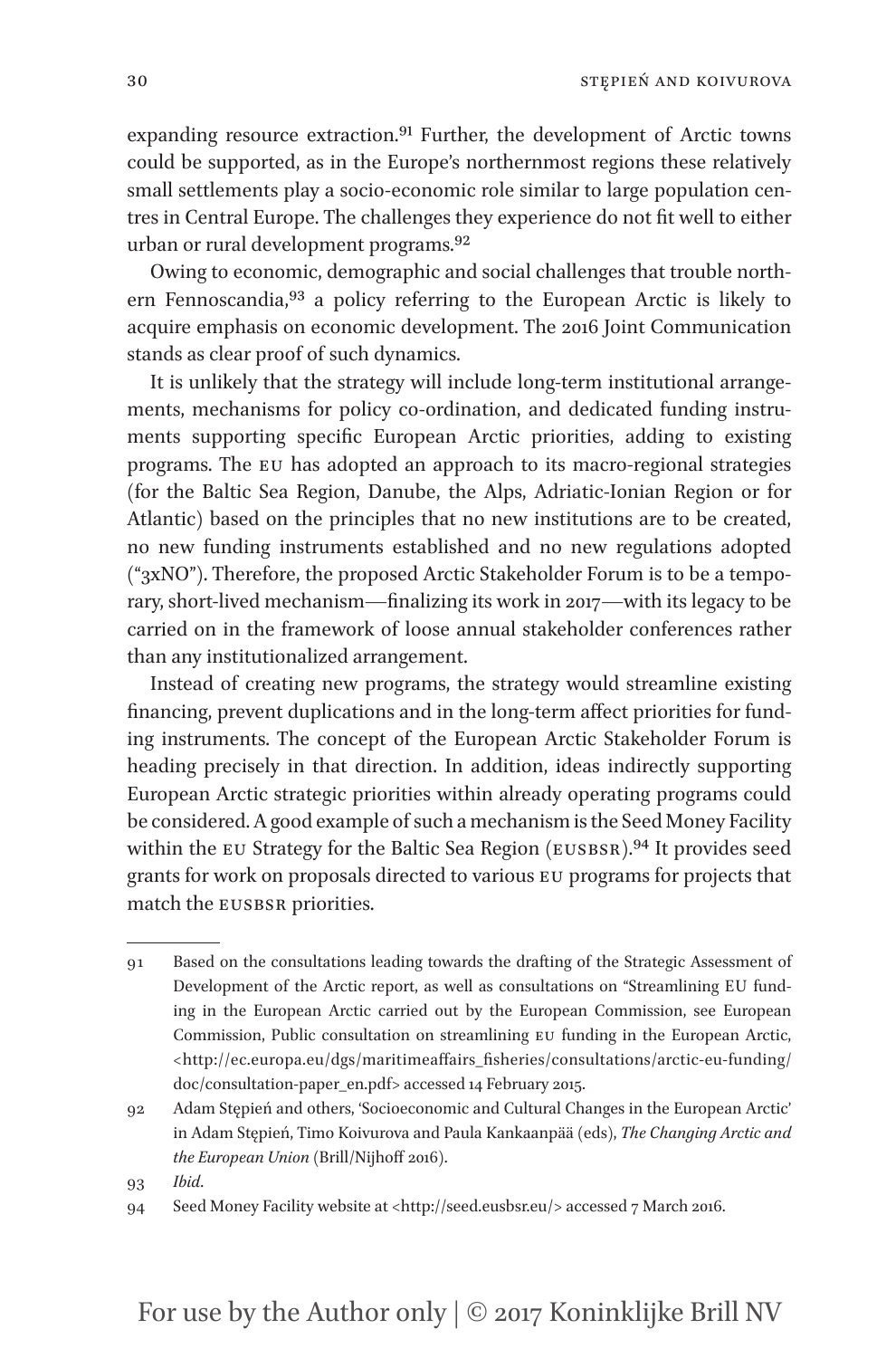expanding resource extraction.<sup>91</sup> Further, the development of Arctic towns could be supported, as in the Europe's northernmost regions these relatively small settlements play a socio-economic role similar to large population centres in Central Europe. The challenges they experience do not fit well to either urban or rural development programs.92

Owing to economic, demographic and social challenges that trouble northern Fennoscandia,93 a policy referring to the European Arctic is likely to acquire emphasis on economic development. The 2016 Joint Communication stands as clear proof of such dynamics.

It is unlikely that the strategy will include long-term institutional arrangements, mechanisms for policy co-ordination, and dedicated funding instruments supporting specific European Arctic priorities, adding to existing programs. The EU has adopted an approach to its macro-regional strategies (for the Baltic Sea Region, Danube, the Alps, Adriatic-Ionian Region or for Atlantic) based on the principles that no new institutions are to be created, no new funding instruments established and no new regulations adopted ("3xNO"). Therefore, the proposed Arctic Stakeholder Forum is to be a temporary, short-lived mechanism—finalizing its work in 2017—with its legacy to be carried on in the framework of loose annual stakeholder conferences rather than any institutionalized arrangement.

Instead of creating new programs, the strategy would streamline existing financing, prevent duplications and in the long-term affect priorities for funding instruments. The concept of the European Arctic Stakeholder Forum is heading precisely in that direction. In addition, ideas indirectly supporting European Arctic strategic priorities within already operating programs could be considered. A good example of such a mechanism is the Seed Money Facility within the EU Strategy for the Baltic Sea Region (EUSBSR).<sup>94</sup> It provides seed grants for work on proposals directed to various EU programs for projects that match the EUSBSR priorities.

93 *Ibid*.

<sup>91</sup> Based on the consultations leading towards the drafting of the Strategic Assessment of Development of the Arctic report, as well as consultations on "Streamlining EU funding in the European Arctic carried out by the European Commission, see European Commission, Public consultation on streamlining EU funding in the European Arctic, <[http://ec.europa.eu/dgs/maritimeaffairs\\_fisheries/consultations/arctic-eu-funding/](http://ec.europa.eu/dgs/maritimeaffairs_fisheries/consultations/arctic-eu-funding/doc/consultation-paper_en.pdf) [doc/consultation-paper\\_en.pdf>](http://ec.europa.eu/dgs/maritimeaffairs_fisheries/consultations/arctic-eu-funding/doc/consultation-paper_en.pdf) accessed 14 February 2015.

<sup>92</sup> Adam Stępień and others, 'Socioeconomic and Cultural Changes in the European Arctic' in Adam Stępień, Timo Koivurova and Paula Kankaanpää (eds), *The Changing Arctic and the European Union* (Brill/Nijhoff 2016).

<sup>94</sup> Seed Money Facility website at <[http://seed.eusbsr.eu/>](http://seed.eusbsr.eu/) accessed 7 March 2016.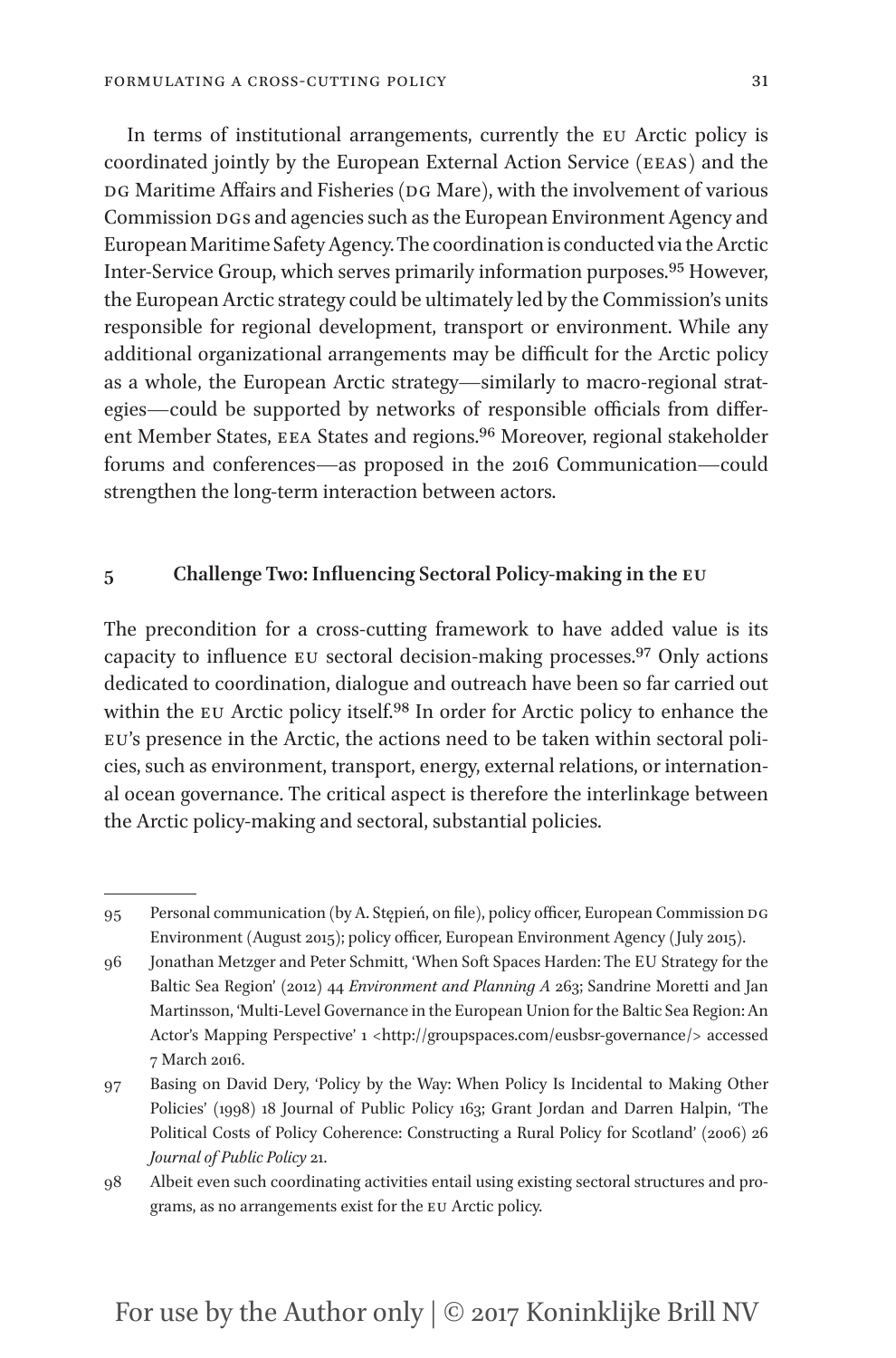In terms of institutional arrangements, currently the EU Arctic policy is coordinated jointly by the European External Action Service (EEAS) and the DG Maritime Affairs and Fisheries (DG Mare), with the involvement of various Commission DGs and agencies such as the European Environment Agency and European Maritime Safety Agency. The coordination is conducted via the Arctic Inter-Service Group, which serves primarily information purposes.95 However, the European Arctic strategy could be ultimately led by the Commission's units responsible for regional development, transport or environment. While any additional organizational arrangements may be difficult for the Arctic policy as a whole, the European Arctic strategy—similarly to macro-regional strategies—could be supported by networks of responsible officials from different Member States, EEA States and regions.<sup>96</sup> Moreover, regional stakeholder forums and conferences—as proposed in the 2016 Communication—could strengthen the long-term interaction between actors.

#### **5 Challenge Two: Influencing Sectoral Policy-making in the EU**

The precondition for a cross-cutting framework to have added value is its capacity to influence EU sectoral decision-making processes.97 Only actions dedicated to coordination, dialogue and outreach have been so far carried out within the EU Arctic policy itself.98 In order for Arctic policy to enhance the EU's presence in the Arctic, the actions need to be taken within sectoral policies, such as environment, transport, energy, external relations, or international ocean governance. The critical aspect is therefore the interlinkage between the Arctic policy-making and sectoral, substantial policies.

<sup>95</sup> Personal communication (by A. Stępień, on file), policy officer, European Commission DG Environment (August 2015); policy officer, European Environment Agency (July 2015).

<sup>96</sup> Jonathan Metzger and Peter Schmitt, 'When Soft Spaces Harden: The EU Strategy for the Baltic Sea Region' (2012) 44 *Environment and Planning A* 263; Sandrine Moretti and Jan Martinsson, 'Multi-Level Governance in the European Union for the Baltic Sea Region: An Actor's Mapping Perspective' 1 [<http://groupspaces.com/eusbsr-governance/>](http://groupspaces.com/eusbsr-governance/) accessed 7 March 2016.

<sup>97</sup> Basing on David Dery, 'Policy by the Way: When Policy Is Incidental to Making Other Policies' (1998) 18 Journal of Public Policy 163; Grant Jordan and Darren Halpin, 'The Political Costs of Policy Coherence: Constructing a Rural Policy for Scotland' (2006) 26 *Journal of Public Policy* 21.

<sup>98</sup> Albeit even such coordinating activities entail using existing sectoral structures and programs, as no arrangements exist for the EU Arctic policy.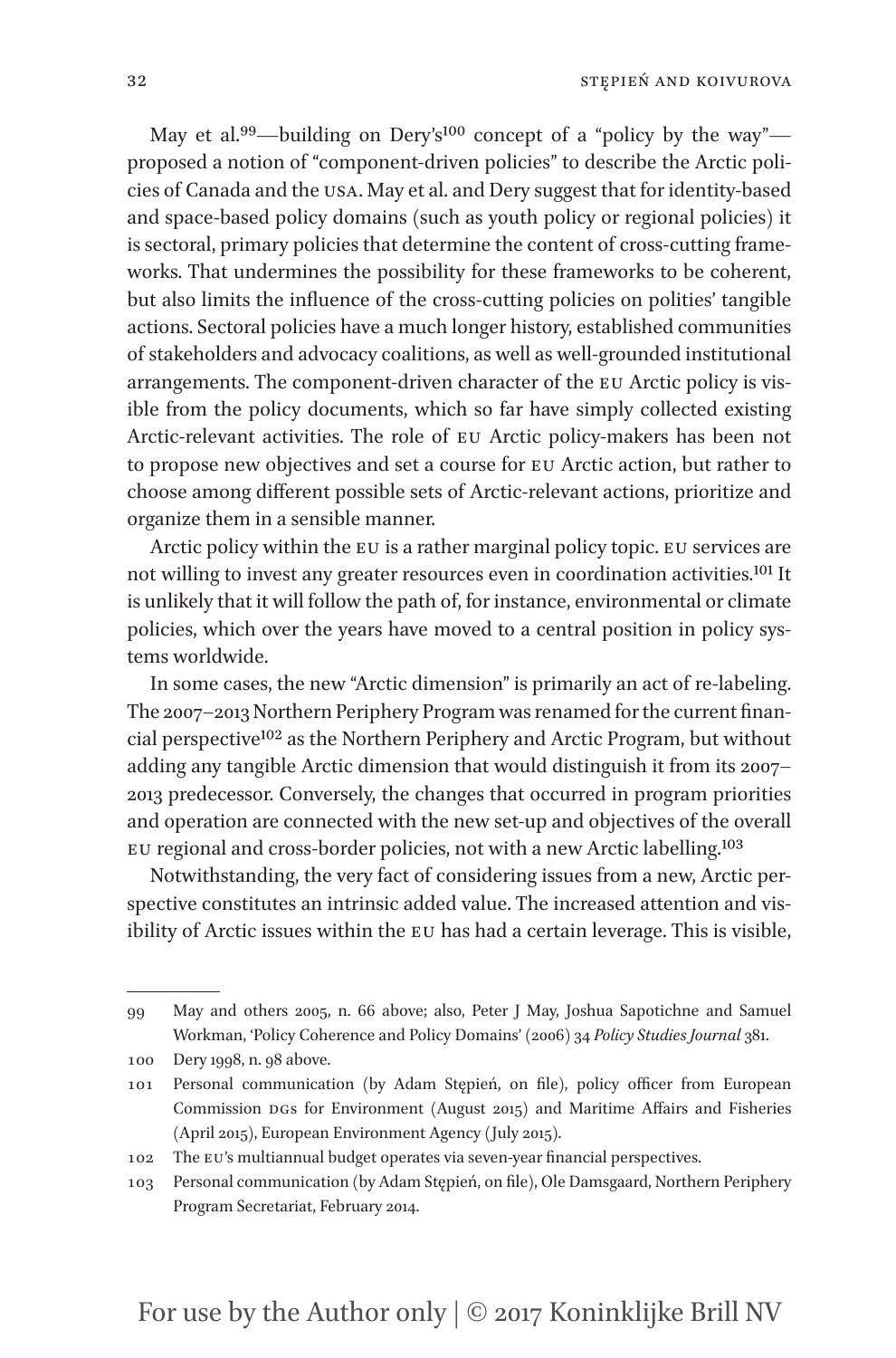May et al.<sup>99</sup>—building on Dery's<sup>100</sup> concept of a "policy by the way" proposed a notion of "component-driven policies" to describe the Arctic policies of Canada and the USA. May et al. and Dery suggest that for identity-based and space-based policy domains (such as youth policy or regional policies) it is sectoral, primary policies that determine the content of cross-cutting frameworks. That undermines the possibility for these frameworks to be coherent, but also limits the influence of the cross-cutting policies on polities' tangible actions. Sectoral policies have a much longer history, established communities of stakeholders and advocacy coalitions, as well as well-grounded institutional arrangements. The component-driven character of the EU Arctic policy is visible from the policy documents, which so far have simply collected existing Arctic-relevant activities. The role of EU Arctic policy-makers has been not to propose new objectives and set a course for EU Arctic action, but rather to choose among different possible sets of Arctic-relevant actions, prioritize and organize them in a sensible manner.

Arctic policy within the EU is a rather marginal policy topic. EU services are not willing to invest any greater resources even in coordination activities.<sup>101</sup> It is unlikely that it will follow the path of, for instance, environmental or climate policies, which over the years have moved to a central position in policy systems worldwide.

In some cases, the new "Arctic dimension" is primarily an act of re-labeling. The 2007–2013 Northern Periphery Program was renamed for the current financial perspective<sup>102</sup> as the Northern Periphery and Arctic Program, but without adding any tangible Arctic dimension that would distinguish it from its 2007– 2013 predecessor. Conversely, the changes that occurred in program priorities and operation are connected with the new set-up and objectives of the overall EU regional and cross-border policies, not with a new Arctic labelling.103

Notwithstanding, the very fact of considering issues from a new, Arctic perspective constitutes an intrinsic added value. The increased attention and visibility of Arctic issues within the EU has had a certain leverage. This is visible,

101 Personal communication (by Adam Stępień, on file), policy officer from European Commission DGs for Environment (August 2015) and Maritime Affairs and Fisheries (April 2015), European Environment Agency (July 2015).

<sup>99</sup> May and others 2005, n. 66 above; also, Peter J May, Joshua Sapotichne and Samuel Workman, 'Policy Coherence and Policy Domains' (2006) 34 *Policy Studies Journal* 381.

<sup>100</sup> Dery 1998, n. 98 above.

<sup>102</sup> The EU's multiannual budget operates via seven-year financial perspectives.

<sup>103</sup> Personal communication (by Adam Stępień, on file), Ole Damsgaard, Northern Periphery Program Secretariat, February 2014.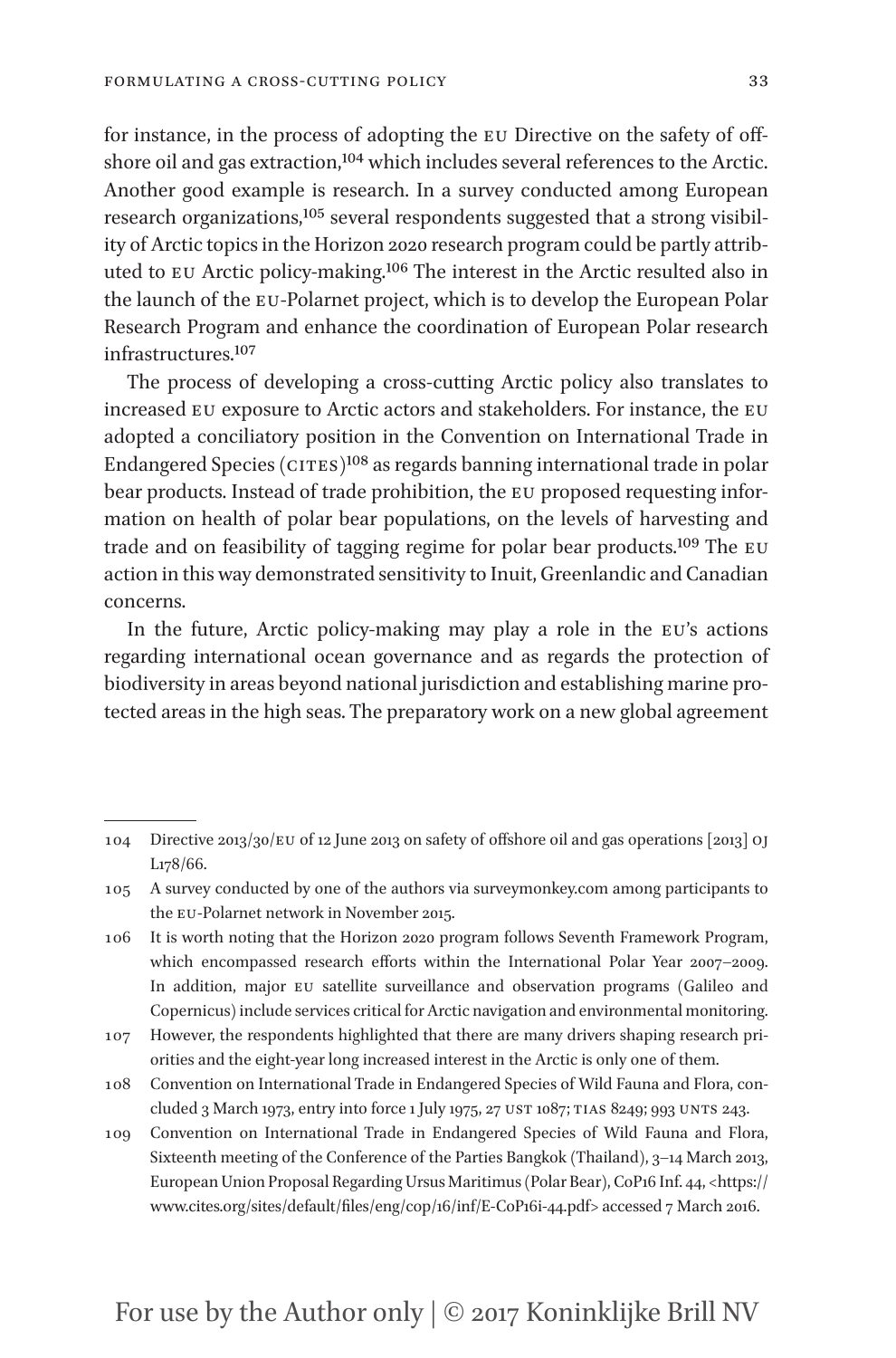for instance, in the process of adopting the EU Directive on the safety of offshore oil and gas extraction,<sup>104</sup> which includes several references to the Arctic. Another good example is research. In a survey conducted among European research organizations,<sup>105</sup> several respondents suggested that a strong visibility of Arctic topics in the Horizon 2020 research program could be partly attributed to EU Arctic policy-making.106 The interest in the Arctic resulted also in the launch of the EU-Polarnet project, which is to develop the European Polar Research Program and enhance the coordination of European Polar research infrastructures.107

The process of developing a cross-cutting Arctic policy also translates to increased EU exposure to Arctic actors and stakeholders. For instance, the EU adopted a conciliatory position in the Convention on International Trade in Endangered Species (CITES)108 as regards banning international trade in polar bear products. Instead of trade prohibition, the EU proposed requesting information on health of polar bear populations, on the levels of harvesting and trade and on feasibility of tagging regime for polar bear products.109 The EU action in this way demonstrated sensitivity to Inuit, Greenlandic and Canadian concerns.

In the future, Arctic policy-making may play a role in the EU's actions regarding international ocean governance and as regards the protection of biodiversity in areas beyond national jurisdiction and establishing marine protected areas in the high seas. The preparatory work on a new global agreement

105 A survey conducted by one of the authors via surveymonkey.com among participants to the EU-Polarnet network in November 2015.

- 106 It is worth noting that the Horizon 2020 program follows Seventh Framework Program, which encompassed research efforts within the International Polar Year 2007–2009. In addition, major EU satellite surveillance and observation programs (Galileo and Copernicus) include services critical for Arctic navigation and environmental monitoring.
- 107 However, the respondents highlighted that there are many drivers shaping research priorities and the eight-year long increased interest in the Arctic is only one of them.
- 108 Convention on International Trade in Endangered Species of Wild Fauna and Flora, concluded 3 March 1973, entry into force 1 July 1975, 27 UST 1087; TIAS 8249; 993 UNTS 243.
- 109 Convention on International Trade in Endangered Species of Wild Fauna and Flora, Sixteenth meeting of the Conference of the Parties Bangkok (Thailand), 3–14 March 2013, European Union Proposal Regarding Ursus Maritimus (Polar Bear), CoP16 Inf. 44, [<https://](https://www.cites.org/sites/default/files/eng/cop/16/inf/E-CoP16i-44.pdf) [www.cites.org/sites/default/files/eng/cop/16/inf/E-CoP16i-44.pdf](https://www.cites.org/sites/default/files/eng/cop/16/inf/E-CoP16i-44.pdf)> accessed 7 March 2016.

<sup>104</sup> Directive 2013/30/EU of 12 June 2013 on safety of offshore oil and gas operations [2013] OJ L178/66.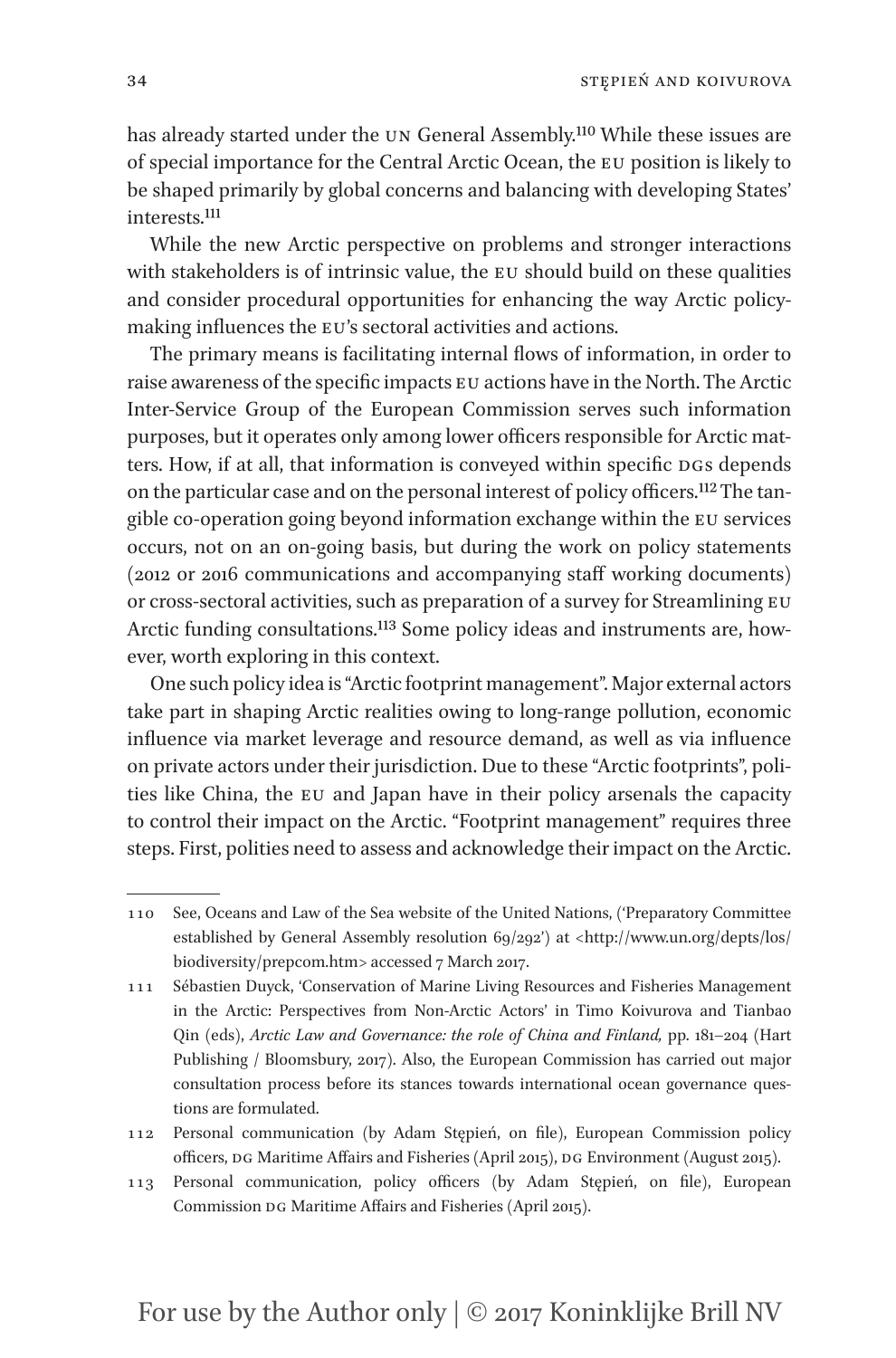has already started under the UN General Assembly.<sup>110</sup> While these issues are of special importance for the Central Arctic Ocean, the EU position is likely to be shaped primarily by global concerns and balancing with developing States' interests.111

While the new Arctic perspective on problems and stronger interactions with stakeholders is of intrinsic value, the EU should build on these qualities and consider procedural opportunities for enhancing the way Arctic policymaking influences the EU's sectoral activities and actions.

The primary means is facilitating internal flows of information, in order to raise awareness of the specific impacts EU actions have in the North. The Arctic Inter-Service Group of the European Commission serves such information purposes, but it operates only among lower officers responsible for Arctic matters. How, if at all, that information is conveyed within specific DGs depends on the particular case and on the personal interest of policy officers.112 The tangible co-operation going beyond information exchange within the EU services occurs, not on an on-going basis, but during the work on policy statements (2012 or 2016 communications and accompanying staff working documents) or cross-sectoral activities, such as preparation of a survey for Streamlining EU Arctic funding consultations.<sup>113</sup> Some policy ideas and instruments are, however, worth exploring in this context.

One such policy idea is "Arctic footprint management". Major external actors take part in shaping Arctic realities owing to long-range pollution, economic influence via market leverage and resource demand, as well as via influence on private actors under their jurisdiction. Due to these "Arctic footprints", polities like China, the EU and Japan have in their policy arsenals the capacity to control their impact on the Arctic. "Footprint management" requires three steps. First, polities need to assess and acknowledge their impact on the Arctic.

<sup>110</sup> See, Oceans and Law of the Sea website of the United Nations, ('Preparatory Committee established by General Assembly resolution 69/292') at <[http://www.un.org/depts/los/](http://www.un.org/depts/los/biodiversity/prepcom.htm) [biodiversity/prepcom.htm>](http://www.un.org/depts/los/biodiversity/prepcom.htm) accessed 7 March 2017.

<sup>111</sup> Sébastien Duyck, 'Conservation of Marine Living Resources and Fisheries Management in the Arctic: Perspectives from Non-Arctic Actors' in Timo Koivurova and Tianbao Qin (eds), *Arctic Law and Governance: the role of China and Finland,* pp. 181–204 (Hart Publishing / Bloomsbury, 2017). Also, the European Commission has carried out major consultation process before its stances towards international ocean governance questions are formulated.

<sup>112</sup> Personal communication (by Adam Stępień, on file), European Commission policy officers, DG Maritime Affairs and Fisheries (April 2015), DG Environment (August 2015).

<sup>113</sup> Personal communication, policy officers (by Adam Stępień, on file), European Commission DG Maritime Affairs and Fisheries (April 2015).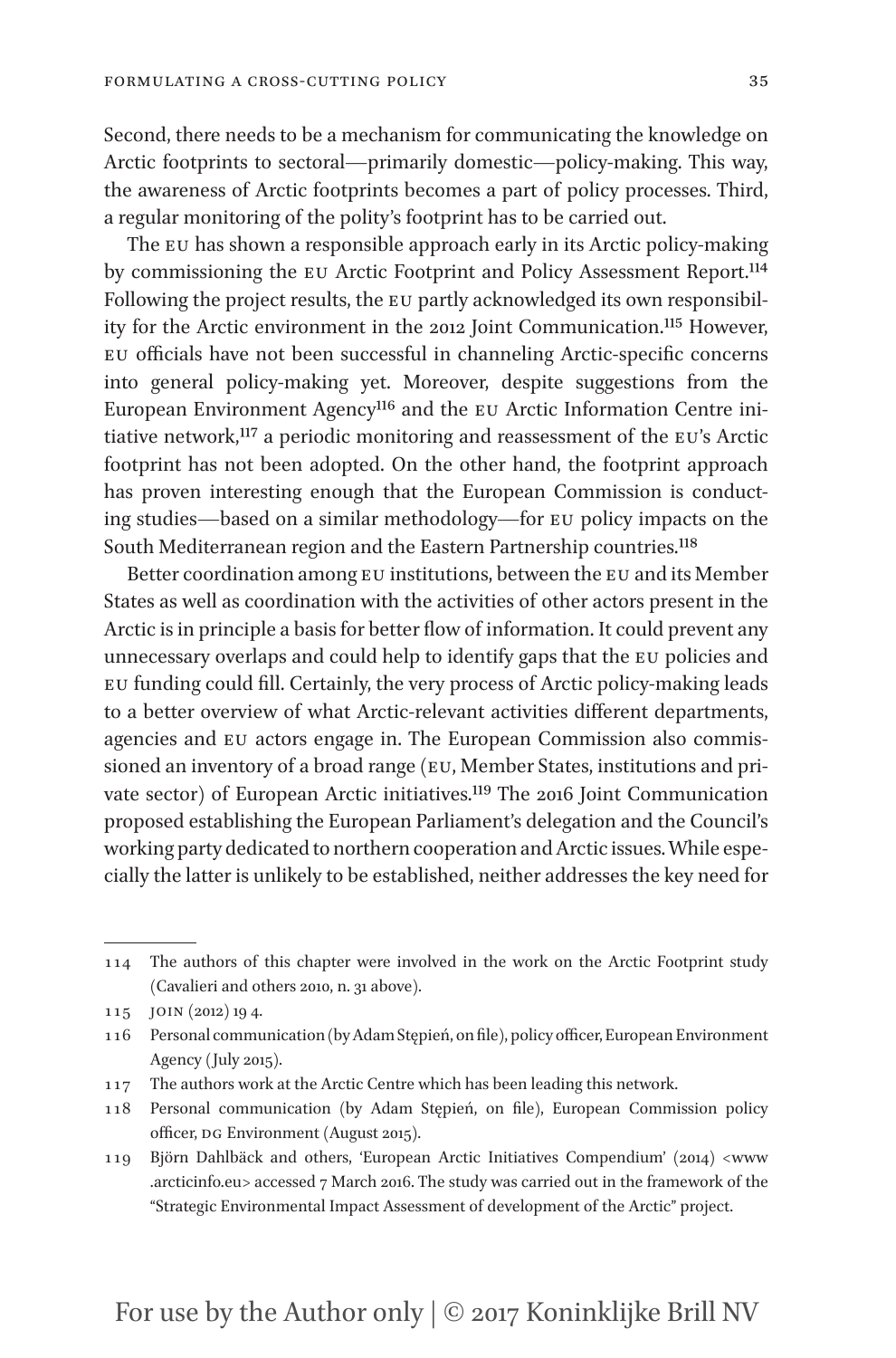Second, there needs to be a mechanism for communicating the knowledge on Arctic footprints to sectoral—primarily domestic—policy-making. This way, the awareness of Arctic footprints becomes a part of policy processes. Third, a regular monitoring of the polity's footprint has to be carried out.

The EU has shown a responsible approach early in its Arctic policy-making by commissioning the EU Arctic Footprint and Policy Assessment Report.<sup>114</sup> Following the project results, the EU partly acknowledged its own responsibility for the Arctic environment in the 2012 Joint Communication.115 However, EU officials have not been successful in channeling Arctic-specific concerns into general policy-making yet. Moreover, despite suggestions from the European Environment Agency<sup>116</sup> and the EU Arctic Information Centre initiative network,<sup>117</sup> a periodic monitoring and reassessment of the EU's Arctic footprint has not been adopted. On the other hand, the footprint approach has proven interesting enough that the European Commission is conducting studies—based on a similar methodology—for EU policy impacts on the South Mediterranean region and the Eastern Partnership countries.<sup>118</sup>

Better coordination among EU institutions, between the EU and its Member States as well as coordination with the activities of other actors present in the Arctic is in principle a basis for better flow of information. It could prevent any unnecessary overlaps and could help to identify gaps that the EU policies and EU funding could fill. Certainly, the very process of Arctic policy-making leads to a better overview of what Arctic-relevant activities different departments, agencies and EU actors engage in. The European Commission also commissioned an inventory of a broad range (EU, Member States, institutions and private sector) of European Arctic initiatives.119 The 2016 Joint Communication proposed establishing the European Parliament's delegation and the Council's working party dedicated to northern cooperation and Arctic issues. While especially the latter is unlikely to be established, neither addresses the key need for

<sup>114</sup> The authors of this chapter were involved in the work on the Arctic Footprint study (Cavalieri and others 2010, n. 31 above).

<sup>115</sup> JOIN (2012) 19 4.

<sup>116</sup> Personal communication (by Adam Stępień, on file), policy officer, European Environment Agency (July 2015).

<sup>117</sup> The authors work at the Arctic Centre which has been leading this network.

<sup>118</sup> Personal communication (by Adam Stępień, on file), European Commission policy officer, DG Environment (August 2015).

<sup>119</sup> Björn Dahlbäck and others, 'European Arctic Initiatives Compendium' (2014) [<www](http://www.arcticinfo.eu) [.arcticinfo.eu>](http://www.arcticinfo.eu) accessed 7 March 2016. The study was carried out in the framework of the "Strategic Environmental Impact Assessment of development of the Arctic" project.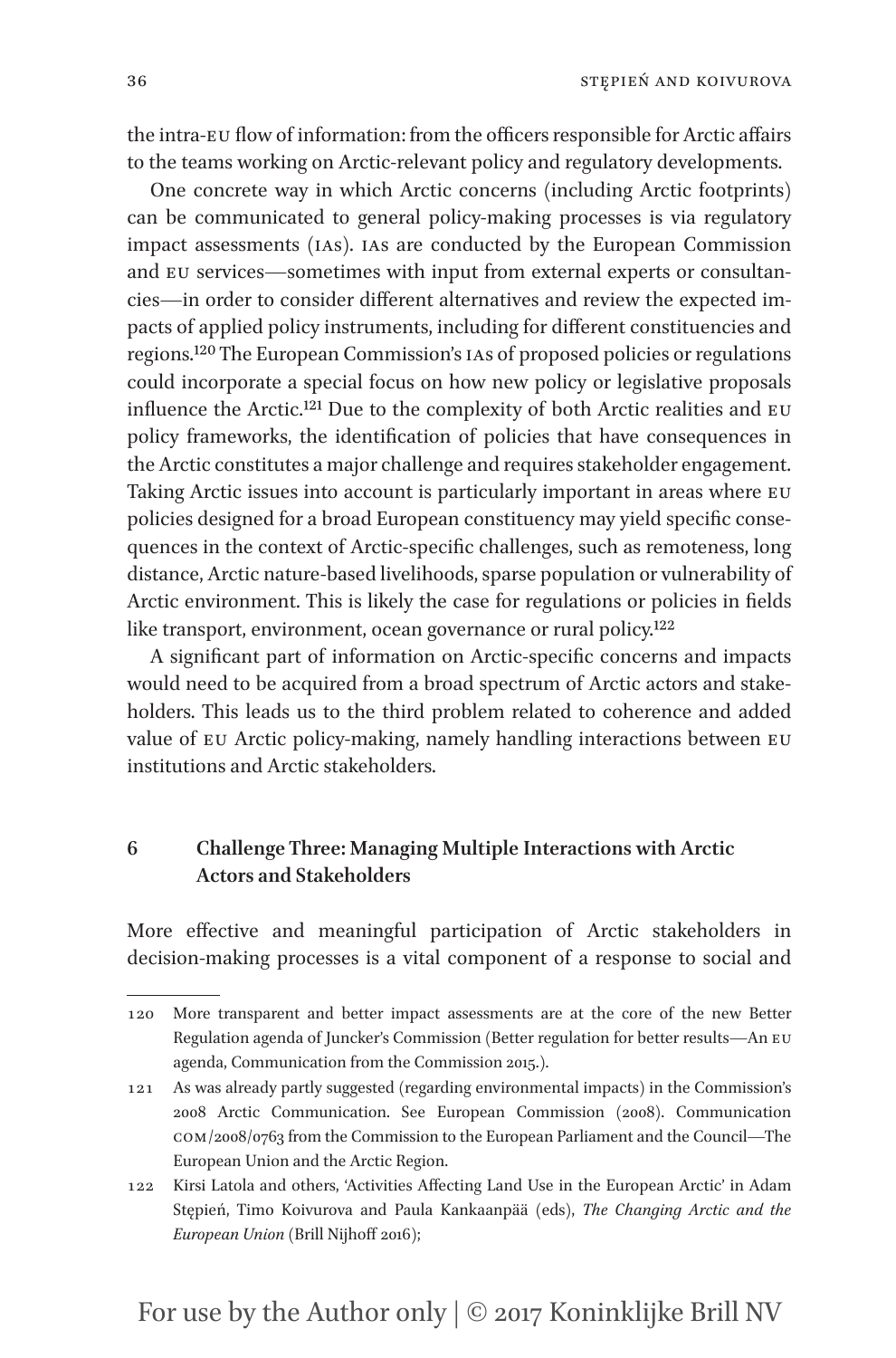the intra-EU flow of information: from the officers responsible for Arctic affairs to the teams working on Arctic-relevant policy and regulatory developments.

One concrete way in which Arctic concerns (including Arctic footprints) can be communicated to general policy-making processes is via regulatory impact assessments (IAs). IAs are conducted by the European Commission and EU services—sometimes with input from external experts or consultancies—in order to consider different alternatives and review the expected impacts of applied policy instruments, including for different constituencies and regions.120 The European Commission's IAs of proposed policies or regulations could incorporate a special focus on how new policy or legislative proposals influence the Arctic.121 Due to the complexity of both Arctic realities and EU policy frameworks, the identification of policies that have consequences in the Arctic constitutes a major challenge and requires stakeholder engagement. Taking Arctic issues into account is particularly important in areas where EU policies designed for a broad European constituency may yield specific consequences in the context of Arctic-specific challenges, such as remoteness, long distance, Arctic nature-based livelihoods, sparse population or vulnerability of Arctic environment. This is likely the case for regulations or policies in fields like transport, environment, ocean governance or rural policy.<sup>122</sup>

A significant part of information on Arctic-specific concerns and impacts would need to be acquired from a broad spectrum of Arctic actors and stakeholders. This leads us to the third problem related to coherence and added value of EU Arctic policy-making, namely handling interactions between EU institutions and Arctic stakeholders.

#### **6 Challenge Three: Managing Multiple Interactions with Arctic Actors and Stakeholders**

More effective and meaningful participation of Arctic stakeholders in decision-making processes is a vital component of a response to social and

<sup>120</sup> More transparent and better impact assessments are at the core of the new Better Regulation agenda of Juncker's Commission (Better regulation for better results—An EU agenda, Communication from the Commission 2015.).

<sup>121</sup> As was already partly suggested (regarding environmental impacts) in the Commission's 2008 Arctic Communication. See European Commission (2008). Communication COM/2008/0763 from the Commission to the European Parliament and the Council—The European Union and the Arctic Region.

<sup>122</sup> Kirsi Latola and others, 'Activities Affecting Land Use in the European Arctic' in Adam Stępień, Timo Koivurova and Paula Kankaanpää (eds), *The Changing Arctic and the European Union* (Brill Nijhoff 2016);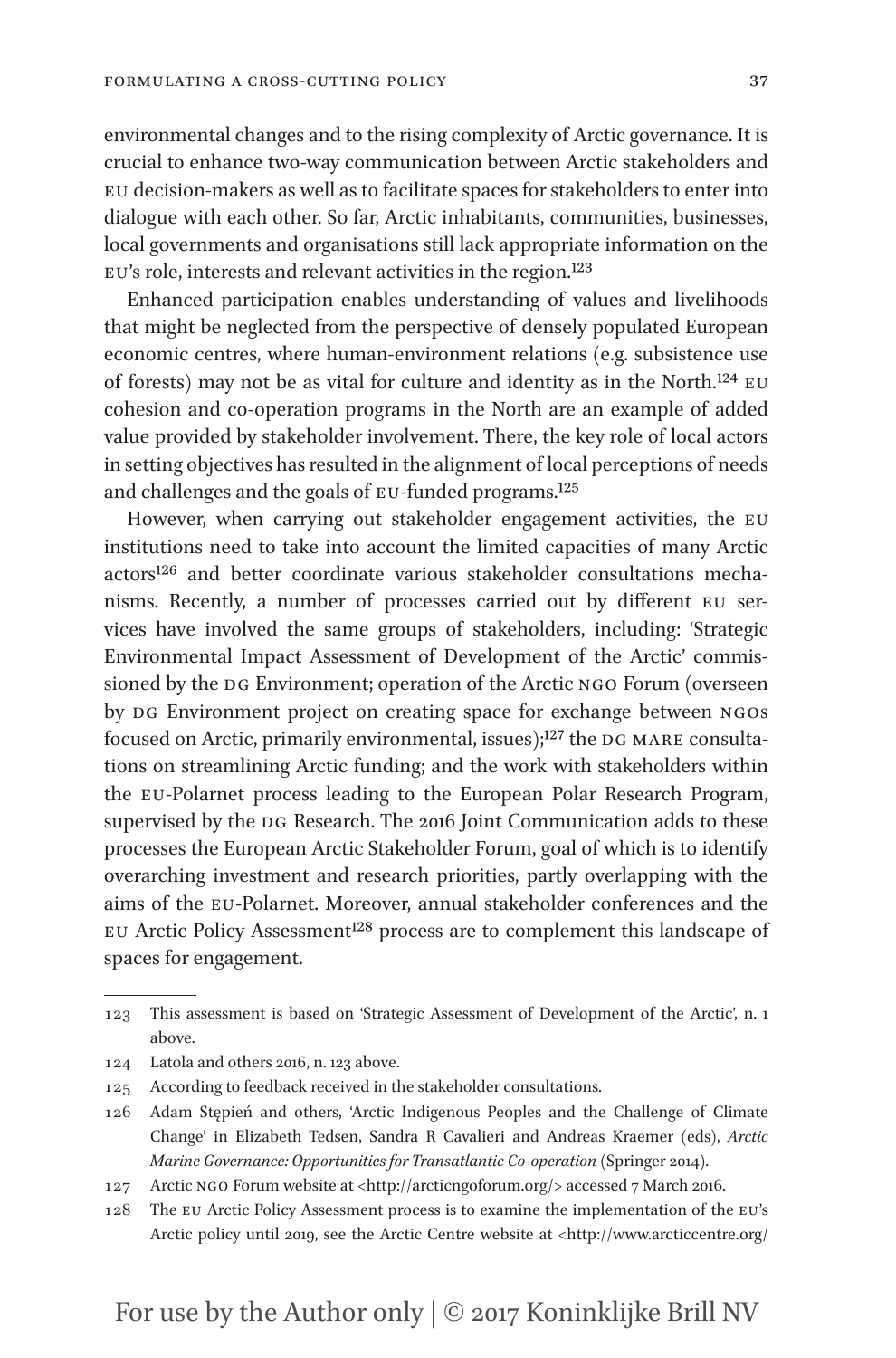environmental changes and to the rising complexity of Arctic governance. It is crucial to enhance two-way communication between Arctic stakeholders and EU decision-makers as well as to facilitate spaces for stakeholders to enter into dialogue with each other. So far, Arctic inhabitants, communities, businesses, local governments and organisations still lack appropriate information on the EU's role, interests and relevant activities in the region.123

Enhanced participation enables understanding of values and livelihoods that might be neglected from the perspective of densely populated European economic centres, where human-environment relations (e.g. subsistence use of forests) may not be as vital for culture and identity as in the North.124 EU cohesion and co-operation programs in the North are an example of added value provided by stakeholder involvement. There, the key role of local actors in setting objectives has resulted in the alignment of local perceptions of needs and challenges and the goals of EU-funded programs.125

However, when carrying out stakeholder engagement activities, the EU institutions need to take into account the limited capacities of many Arctic actors<sup>126</sup> and better coordinate various stakeholder consultations mechanisms. Recently, a number of processes carried out by different EU services have involved the same groups of stakeholders, including: 'Strategic Environmental Impact Assessment of Development of the Arctic' commissioned by the DG Environment; operation of the Arctic NGO Forum (overseen by DG Environment project on creating space for exchange between NGOs focused on Arctic, primarily environmental, issues);127 the DG MARE consultations on streamlining Arctic funding; and the work with stakeholders within the EU-Polarnet process leading to the European Polar Research Program, supervised by the DG Research. The 2016 Joint Communication adds to these processes the European Arctic Stakeholder Forum, goal of which is to identify overarching investment and research priorities, partly overlapping with the aims of the EU-Polarnet. Moreover, annual stakeholder conferences and the EU Arctic Policy Assessment<sup>128</sup> process are to complement this landscape of spaces for engagement.

128 The EU Arctic Policy Assessment process is to examine the implementation of the EU's Arctic policy until 2019, see the Arctic Centre website at [<http://www.arcticcentre.org/](http://www.arcticcentre.org/EN/News/uutinen?ln=x4ueznur&id=6244f2bc-27a7-4bec-8e69-bf5b097b03df)

<sup>123</sup> This assessment is based on 'Strategic Assessment of Development of the Arctic', n. 1 above.

<sup>124</sup> Latola and others 2016, n. 123 above.

<sup>125</sup> According to feedback received in the stakeholder consultations.

<sup>126</sup> Adam Stępień and others, 'Arctic Indigenous Peoples and the Challenge of Climate Change' in Elizabeth Tedsen, Sandra R Cavalieri and Andreas Kraemer (eds), *Arctic Marine Governance: Opportunities for Transatlantic Co-operation* (Springer 2014).

<sup>127</sup> Arctic NGO Forum website at <[http://arcticngoforum.org/>](http://arcticngoforum.org/) accessed 7 March 2016.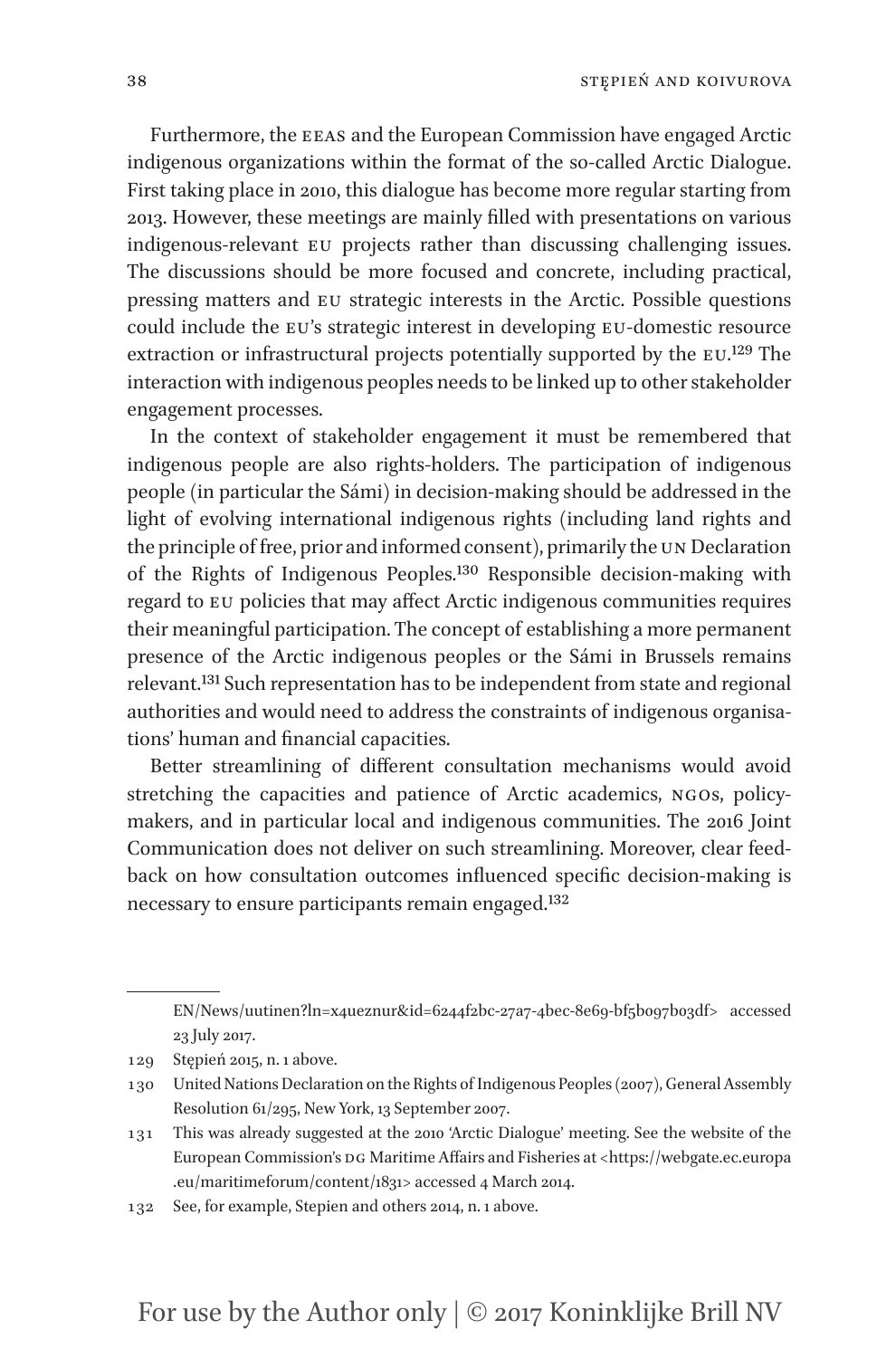Furthermore, the EEAS and the European Commission have engaged Arctic indigenous organizations within the format of the so-called Arctic Dialogue. First taking place in 2010, this dialogue has become more regular starting from 2013. However, these meetings are mainly filled with presentations on various indigenous-relevant EU projects rather than discussing challenging issues. The discussions should be more focused and concrete, including practical, pressing matters and EU strategic interests in the Arctic. Possible questions could include the EU's strategic interest in developing EU-domestic resource extraction or infrastructural projects potentially supported by the EU.129 The interaction with indigenous peoples needs to be linked up to other stakeholder engagement processes.

In the context of stakeholder engagement it must be remembered that indigenous people are also rights-holders. The participation of indigenous people (in particular the Sámi) in decision-making should be addressed in the light of evolving international indigenous rights (including land rights and the principle of free, prior and informed consent), primarily the UN Declaration of the Rights of Indigenous Peoples.130 Responsible decision-making with regard to EU policies that may affect Arctic indigenous communities requires their meaningful participation. The concept of establishing a more permanent presence of the Arctic indigenous peoples or the Sámi in Brussels remains relevant.131 Such representation has to be independent from state and regional authorities and would need to address the constraints of indigenous organisations' human and financial capacities.

Better streamlining of different consultation mechanisms would avoid stretching the capacities and patience of Arctic academics, NGOs, policymakers, and in particular local and indigenous communities. The 2016 Joint Communication does not deliver on such streamlining. Moreover, clear feedback on how consultation outcomes influenced specific decision-making is necessary to ensure participants remain engaged.132

[EN/News/uutinen?ln=x4ueznur&id=6244f2bc-27a7-4bec-8e69-bf5b097b03df>](http://www.arcticcentre.org/EN/News/uutinen?ln=x4ueznur&id=6244f2bc-27a7-4bec-8e69-bf5b097b03df) accessed 23 July 2017.

<sup>129</sup> Stępień 2015, n. 1 above.

<sup>130</sup> United Nations Declaration on the Rights of Indigenous Peoples (2007), General Assembly Resolution 61/295, New York, 13 September 2007.

<sup>131</sup> This was already suggested at the 2010 'Arctic Dialogue' meeting. See the website of the European Commission's DG Maritime Affairs and Fisheries at <[https://webgate.ec.europa](https://webgate.ec.europa.eu/maritimeforum/content/1831) [.eu/maritimeforum/content/1831](https://webgate.ec.europa.eu/maritimeforum/content/1831)> accessed 4 March 2014.

<sup>132</sup> See, for example, Stepien and others 2014, n. 1 above.